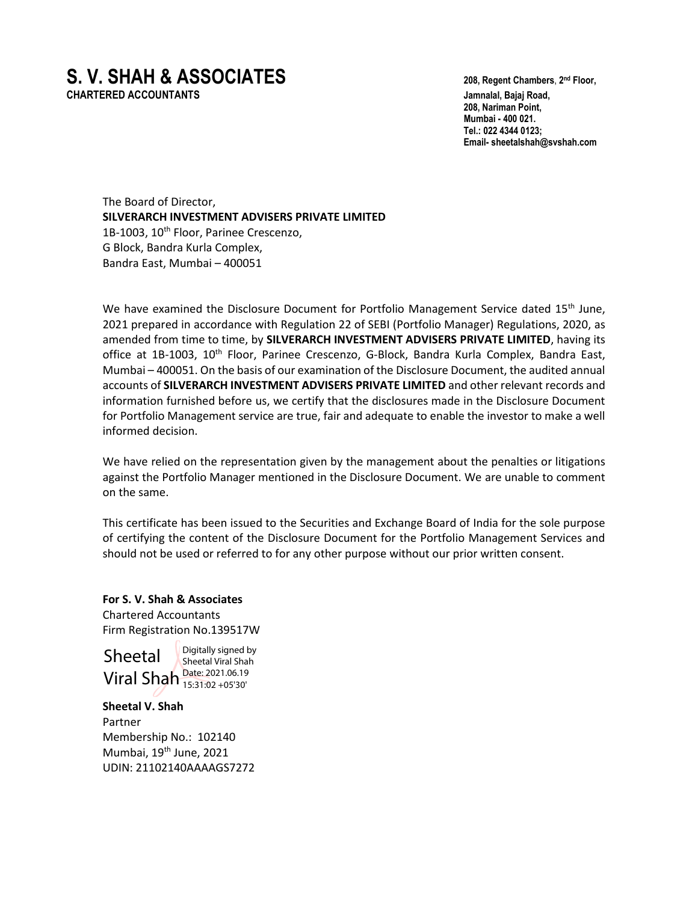# **S. V. SHAH & ASSOCIATES 208, Regent Chambers**, **<sup>2</sup>**

**CHARTERED ACCOUNTANTS Jamnalal, Bajaj Road,**

208, Regent Chambers, 2<sup>nd</sup> Floor, **208, Nariman Point, Mumbai - 400 021. Tel.: 022 4344 0123; Email- sheetalshah@svshah.com**

The Board of Director, **SILVERARCH INVESTMENT ADVISERS PRIVATE LIMITED** 1B-1003, 10<sup>th</sup> Floor, Parinee Crescenzo, G Block, Bandra Kurla Complex, Bandra East, Mumbai – 400051

We have examined the Disclosure Document for Portfolio Management Service dated 15<sup>th</sup> June, 2021 prepared in accordance with Regulation 22 of SEBI (Portfolio Manager) Regulations, 2020, as amended from time to time, by **SILVERARCH INVESTMENT ADVISERS PRIVATE LIMITED**, having its office at 1B-1003, 10th Floor, Parinee Crescenzo, G-Block, Bandra Kurla Complex, Bandra East, Mumbai – 400051. On the basis of our examination of the Disclosure Document, the audited annual accounts of **SILVERARCH INVESTMENT ADVISERS PRIVATE LIMITED** and other relevant records and information furnished before us, we certify that the disclosures made in the Disclosure Document for Portfolio Management service are true, fair and adequate to enable the investor to make a well informed decision.

We have relied on the representation given by the management about the penalties or litigations against the Portfolio Manager mentioned in the Disclosure Document. We are unable to comment on the same.

This certificate has been issued to the Securities and Exchange Board of India for the sole purpose of certifying the content of the Disclosure Document for the Portfolio Management Services and should not be used or referred to for any other purpose without our prior written consent.

**For S. V. Shah & Associates** Chartered Accountants Firm Registration No.139517W

Sheetal Viral Shah <sup>Date: 2021.06.19</sup>

Digitally signed by Sheetal Viral Shah 15:31:02 +05'30'

**Sheetal V. Shah** Partner Membership No.: 102140 Mumbai, 19<sup>th</sup> June, 2021 UDIN: 21102140AAAAGS7272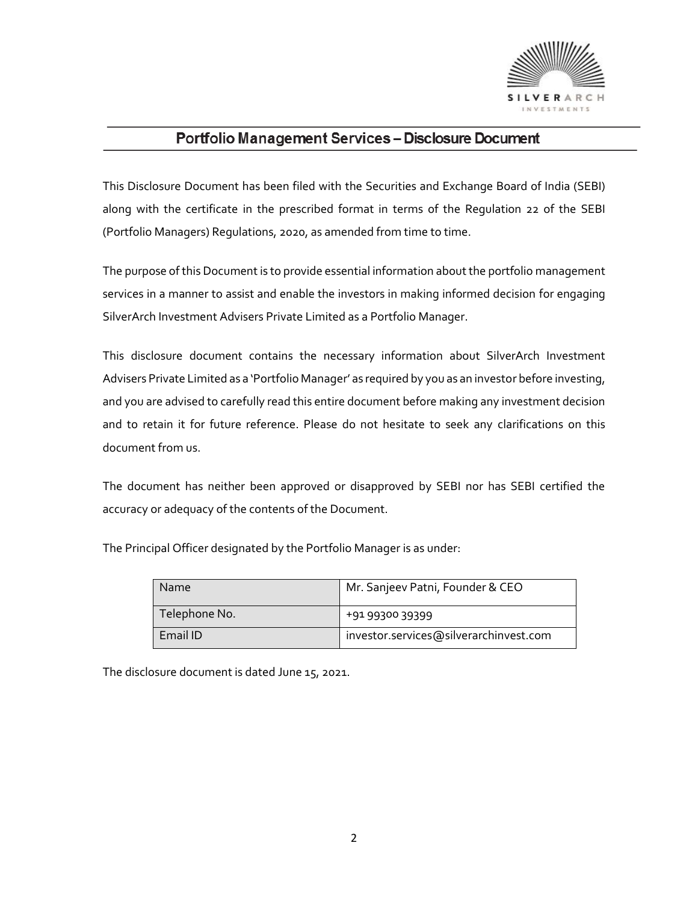

This Disclosure Document has been filed with the Securities and Exchange Board of India (SEBI) along with the certificate in the prescribed format in terms of the Regulation 22 of the SEBI (Portfolio Managers) Regulations, 2020, as amended from time to time.

The purpose of this Document is to provide essential information about the portfolio management services in a manner to assist and enable the investors in making informed decision for engaging SilverArch Investment Advisers Private Limited as a Portfolio Manager.

This disclosure document contains the necessary information about SilverArch Investment Advisers Private Limited as a 'Portfolio Manager' as required by you as an investor before investing, and you are advised to carefully read this entire document before making any investment decision and to retain it for future reference. Please do not hesitate to seek any clarifications on this document from us.

The document has neither been approved or disapproved by SEBI nor has SEBI certified the accuracy or adequacy of the contents of the Document.

| <b>Name</b>   | Mr. Sanjeev Patni, Founder & CEO       |
|---------------|----------------------------------------|
| Telephone No. | +91 99300 39399                        |
| Email ID      | investor.services@silverarchinvest.com |

The Principal Officer designated by the Portfolio Manager is as under:

The disclosure document is dated June 15, 2021.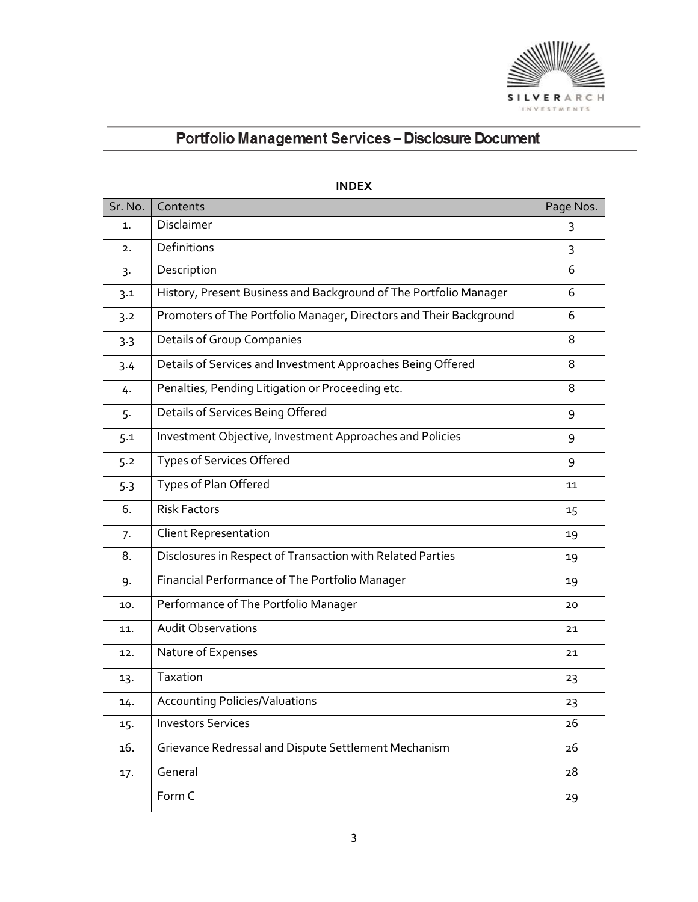

# **INDEX**

| Sr. No. | Contents                                                           | Page Nos. |
|---------|--------------------------------------------------------------------|-----------|
| 1.      | Disclaimer                                                         | 3         |
| 2.      | Definitions                                                        |           |
| 3.      | Description                                                        |           |
| 3.1     | History, Present Business and Background of The Portfolio Manager  | 6         |
| 3.2     | Promoters of The Portfolio Manager, Directors and Their Background | 6         |
| 3.3     | Details of Group Companies                                         | 8         |
| 3.4     | Details of Services and Investment Approaches Being Offered        | 8         |
| 4.      | Penalties, Pending Litigation or Proceeding etc.                   | 8         |
| 5.      | Details of Services Being Offered                                  | 9         |
| 5.1     | Investment Objective, Investment Approaches and Policies           | 9         |
| 5.2     | Types of Services Offered                                          | 9         |
| 5.3     | Types of Plan Offered                                              | 11        |
| 6.      | <b>Risk Factors</b>                                                | 15        |
| 7.      | <b>Client Representation</b>                                       | 19        |
| 8.      | Disclosures in Respect of Transaction with Related Parties         |           |
| 9.      | Financial Performance of The Portfolio Manager                     |           |
| 10.     | Performance of The Portfolio Manager                               | 20        |
| 11.     | <b>Audit Observations</b>                                          | 21        |
| 12.     | Nature of Expenses                                                 | 21        |
| 13.     | Taxation                                                           | 23        |
| 14.     | <b>Accounting Policies/Valuations</b>                              | 23        |
| 15.     | <b>Investors Services</b>                                          | 26        |
| 16.     | Grievance Redressal and Dispute Settlement Mechanism               | 26        |
| 17.     | General                                                            | 28        |
|         | Form C                                                             | 29        |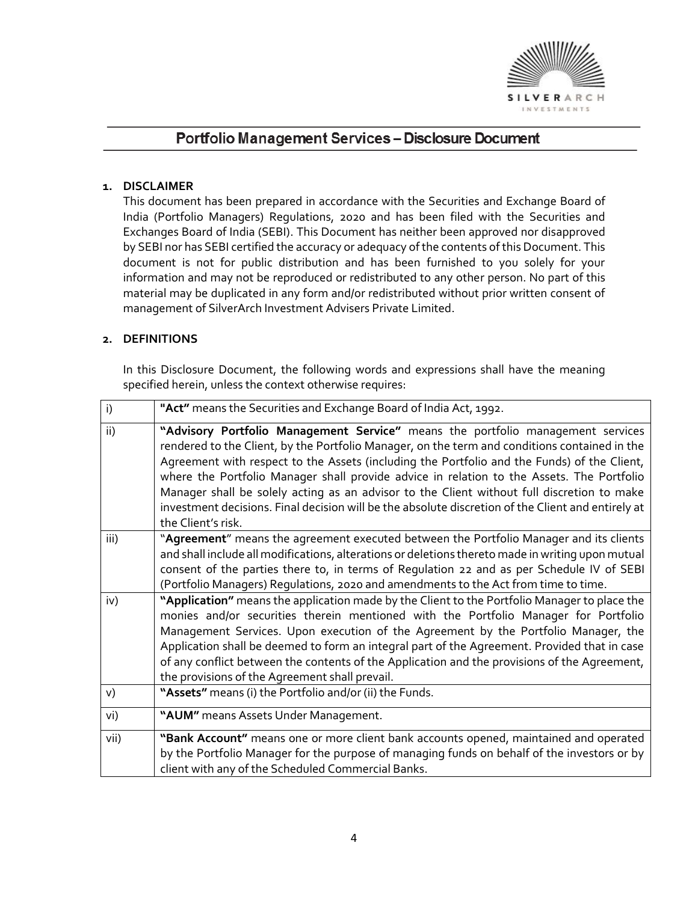

### **1. DISCLAIMER**

This document has been prepared in accordance with the Securities and Exchange Board of India (Portfolio Managers) Regulations, 2020 and has been filed with the Securities and Exchanges Board of India (SEBI). This Document has neither been approved nor disapproved by SEBI nor has SEBI certified the accuracy or adequacy of the contents of this Document. This document is not for public distribution and has been furnished to you solely for your information and may not be reproduced or redistributed to any other person. No part of this material may be duplicated in any form and/or redistributed without prior written consent of management of SilverArch Investment Advisers Private Limited.

### **2. DEFINITIONS**

In this Disclosure Document, the following words and expressions shall have the meaning specified herein, unless the context otherwise requires:

| i)   | "Act" means the Securities and Exchange Board of India Act, 1992.                                                                                                                                                                                                                                                                                                                                                                                                                                                                                                                                      |
|------|--------------------------------------------------------------------------------------------------------------------------------------------------------------------------------------------------------------------------------------------------------------------------------------------------------------------------------------------------------------------------------------------------------------------------------------------------------------------------------------------------------------------------------------------------------------------------------------------------------|
| ii)  | "Advisory Portfolio Management Service" means the portfolio management services<br>rendered to the Client, by the Portfolio Manager, on the term and conditions contained in the<br>Agreement with respect to the Assets (including the Portfolio and the Funds) of the Client,<br>where the Portfolio Manager shall provide advice in relation to the Assets. The Portfolio<br>Manager shall be solely acting as an advisor to the Client without full discretion to make<br>investment decisions. Final decision will be the absolute discretion of the Client and entirely at<br>the Client's risk. |
| iii) | "Agreement" means the agreement executed between the Portfolio Manager and its clients<br>and shall include all modifications, alterations or deletions thereto made in writing upon mutual<br>consent of the parties there to, in terms of Regulation 22 and as per Schedule IV of SEBI<br>(Portfolio Managers) Regulations, 2020 and amendments to the Act from time to time.                                                                                                                                                                                                                        |
| iv)  | "Application" means the application made by the Client to the Portfolio Manager to place the<br>monies and/or securities therein mentioned with the Portfolio Manager for Portfolio<br>Management Services. Upon execution of the Agreement by the Portfolio Manager, the<br>Application shall be deemed to form an integral part of the Agreement. Provided that in case<br>of any conflict between the contents of the Application and the provisions of the Agreement,<br>the provisions of the Agreement shall prevail.                                                                            |
| V)   | "Assets" means (i) the Portfolio and/or (ii) the Funds.                                                                                                                                                                                                                                                                                                                                                                                                                                                                                                                                                |
| vi)  | "AUM" means Assets Under Management.                                                                                                                                                                                                                                                                                                                                                                                                                                                                                                                                                                   |
| vii) | "Bank Account" means one or more client bank accounts opened, maintained and operated<br>by the Portfolio Manager for the purpose of managing funds on behalf of the investors or by<br>client with any of the Scheduled Commercial Banks.                                                                                                                                                                                                                                                                                                                                                             |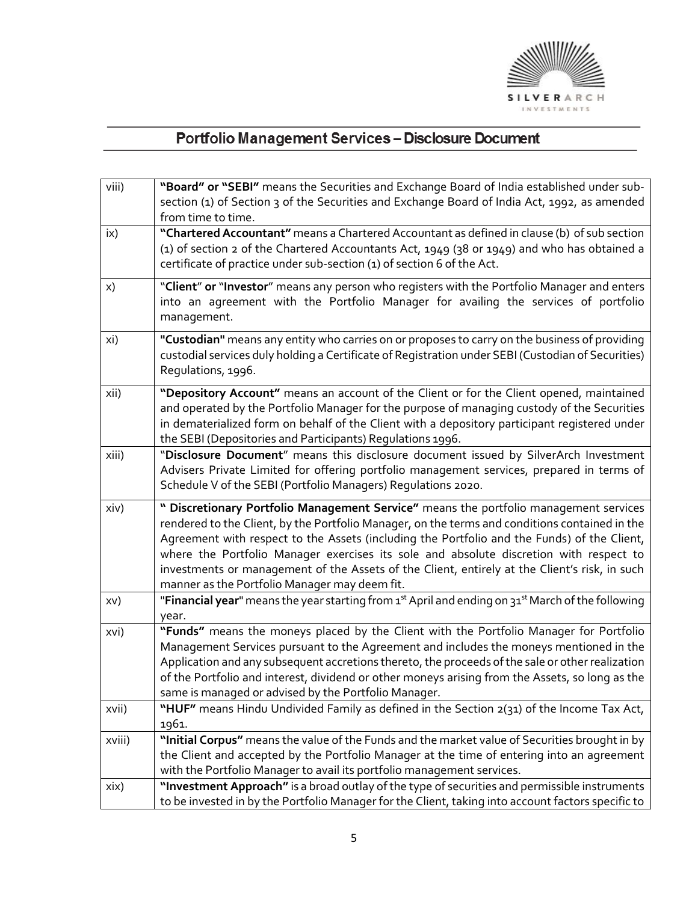

| viii)  | "Board" or "SEBI" means the Securities and Exchange Board of India established under sub-<br>section (1) of Section 3 of the Securities and Exchange Board of India Act, 1992, as amended<br>from time to time.                                                                                                                                                                                                                                                                                                                    |
|--------|------------------------------------------------------------------------------------------------------------------------------------------------------------------------------------------------------------------------------------------------------------------------------------------------------------------------------------------------------------------------------------------------------------------------------------------------------------------------------------------------------------------------------------|
| ix)    | "Chartered Accountant" means a Chartered Accountant as defined in clause (b) of sub section<br>(1) of section 2 of the Chartered Accountants Act, 1949 (38 or 1949) and who has obtained a<br>certificate of practice under sub-section (1) of section 6 of the Act.                                                                                                                                                                                                                                                               |
| X)     | "Client" or "Investor" means any person who registers with the Portfolio Manager and enters<br>into an agreement with the Portfolio Manager for availing the services of portfolio<br>management.                                                                                                                                                                                                                                                                                                                                  |
| xi)    | "Custodian" means any entity who carries on or proposes to carry on the business of providing<br>custodial services duly holding a Certificate of Registration under SEBI (Custodian of Securities)<br>Requlations, 1996.                                                                                                                                                                                                                                                                                                          |
| xii)   | "Depository Account" means an account of the Client or for the Client opened, maintained<br>and operated by the Portfolio Manager for the purpose of managing custody of the Securities<br>in dematerialized form on behalf of the Client with a depository participant registered under<br>the SEBI (Depositories and Participants) Regulations 1996.                                                                                                                                                                             |
| xiii)  | "Disclosure Document" means this disclosure document issued by SilverArch Investment<br>Advisers Private Limited for offering portfolio management services, prepared in terms of<br>Schedule V of the SEBI (Portfolio Managers) Regulations 2020.                                                                                                                                                                                                                                                                                 |
| xiv)   | " Discretionary Portfolio Management Service" means the portfolio management services<br>rendered to the Client, by the Portfolio Manager, on the terms and conditions contained in the<br>Agreement with respect to the Assets (including the Portfolio and the Funds) of the Client,<br>where the Portfolio Manager exercises its sole and absolute discretion with respect to<br>investments or management of the Assets of the Client, entirely at the Client's risk, in such<br>manner as the Portfolio Manager may deem fit. |
| XV)    | "Financial year" means the year starting from 1st April and ending on 31st March of the following<br>year.                                                                                                                                                                                                                                                                                                                                                                                                                         |
| xvi)   | "Funds" means the moneys placed by the Client with the Portfolio Manager for Portfolio<br>Management Services pursuant to the Agreement and includes the moneys mentioned in the<br>Application and any subsequent accretions thereto, the proceeds of the sale or other realization<br>of the Portfolio and interest, dividend or other moneys arising from the Assets, so long as the<br>same is managed or advised by the Portfolio Manager.                                                                                    |
| xvii)  | "HUF" means Hindu Undivided Family as defined in the Section 2(31) of the Income Tax Act,<br>1961.                                                                                                                                                                                                                                                                                                                                                                                                                                 |
| xviii) | "Initial Corpus" means the value of the Funds and the market value of Securities brought in by<br>the Client and accepted by the Portfolio Manager at the time of entering into an agreement<br>with the Portfolio Manager to avail its portfolio management services.                                                                                                                                                                                                                                                             |
| xix)   | "Investment Approach" is a broad outlay of the type of securities and permissible instruments<br>to be invested in by the Portfolio Manager for the Client, taking into account factors specific to                                                                                                                                                                                                                                                                                                                                |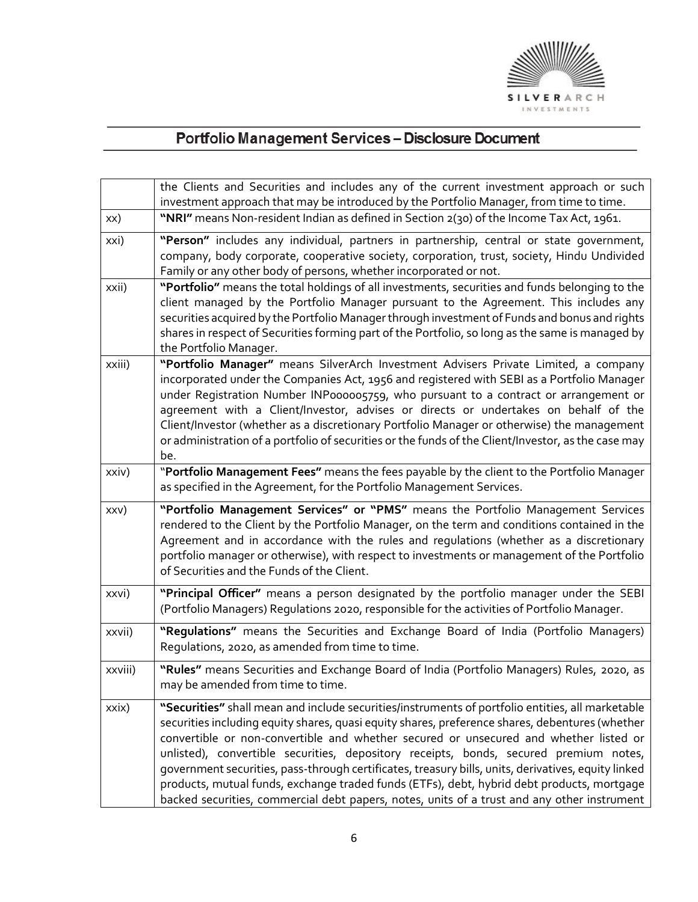

|         | the Clients and Securities and includes any of the current investment approach or such<br>investment approach that may be introduced by the Portfolio Manager, from time to time.                                                                                                                                                                                                                                                                                                                                                                                                                                                                                                         |
|---------|-------------------------------------------------------------------------------------------------------------------------------------------------------------------------------------------------------------------------------------------------------------------------------------------------------------------------------------------------------------------------------------------------------------------------------------------------------------------------------------------------------------------------------------------------------------------------------------------------------------------------------------------------------------------------------------------|
| XX)     | "NRI" means Non-resident Indian as defined in Section 2(30) of the Income Tax Act, 1961.                                                                                                                                                                                                                                                                                                                                                                                                                                                                                                                                                                                                  |
| xxi)    | "Person" includes any individual, partners in partnership, central or state government,<br>company, body corporate, cooperative society, corporation, trust, society, Hindu Undivided<br>Family or any other body of persons, whether incorporated or not.                                                                                                                                                                                                                                                                                                                                                                                                                                |
| xxii)   | "Portfolio" means the total holdings of all investments, securities and funds belonging to the<br>client managed by the Portfolio Manager pursuant to the Agreement. This includes any<br>securities acquired by the Portfolio Manager through investment of Funds and bonus and rights<br>shares in respect of Securities forming part of the Portfolio, so long as the same is managed by<br>the Portfolio Manager.                                                                                                                                                                                                                                                                     |
| xxiii)  | "Portfolio Manager" means SilverArch Investment Advisers Private Limited, a company<br>incorporated under the Companies Act, 1956 and registered with SEBI as a Portfolio Manager<br>under Registration Number INPooooo5759, who pursuant to a contract or arrangement or<br>agreement with a Client/Investor, advises or directs or undertakes on behalf of the<br>Client/Investor (whether as a discretionary Portfolio Manager or otherwise) the management<br>or administration of a portfolio of securities or the funds of the Client/Investor, as the case may<br>be.                                                                                                              |
| xxiv)   | "Portfolio Management Fees" means the fees payable by the client to the Portfolio Manager<br>as specified in the Agreement, for the Portfolio Management Services.                                                                                                                                                                                                                                                                                                                                                                                                                                                                                                                        |
| xxv)    | "Portfolio Management Services" or "PMS" means the Portfolio Management Services<br>rendered to the Client by the Portfolio Manager, on the term and conditions contained in the<br>Agreement and in accordance with the rules and regulations (whether as a discretionary<br>portfolio manager or otherwise), with respect to investments or management of the Portfolio<br>of Securities and the Funds of the Client.                                                                                                                                                                                                                                                                   |
| xxvi)   | "Principal Officer" means a person designated by the portfolio manager under the SEBI<br>(Portfolio Managers) Regulations 2020, responsible for the activities of Portfolio Manager.                                                                                                                                                                                                                                                                                                                                                                                                                                                                                                      |
| xxvii)  | "Regulations" means the Securities and Exchange Board of India (Portfolio Managers)<br>Regulations, 2020, as amended from time to time.                                                                                                                                                                                                                                                                                                                                                                                                                                                                                                                                                   |
| xxviii) | "Rules" means Securities and Exchange Board of India (Portfolio Managers) Rules, 2020, as<br>may be amended from time to time.                                                                                                                                                                                                                                                                                                                                                                                                                                                                                                                                                            |
| xxix)   | "Securities" shall mean and include securities/instruments of portfolio entities, all marketable<br>securities including equity shares, quasi equity shares, preference shares, debentures (whether<br>convertible or non-convertible and whether secured or unsecured and whether listed or<br>unlisted), convertible securities, depository receipts, bonds, secured premium notes,<br>government securities, pass-through certificates, treasury bills, units, derivatives, equity linked<br>products, mutual funds, exchange traded funds (ETFs), debt, hybrid debt products, mortgage<br>backed securities, commercial debt papers, notes, units of a trust and any other instrument |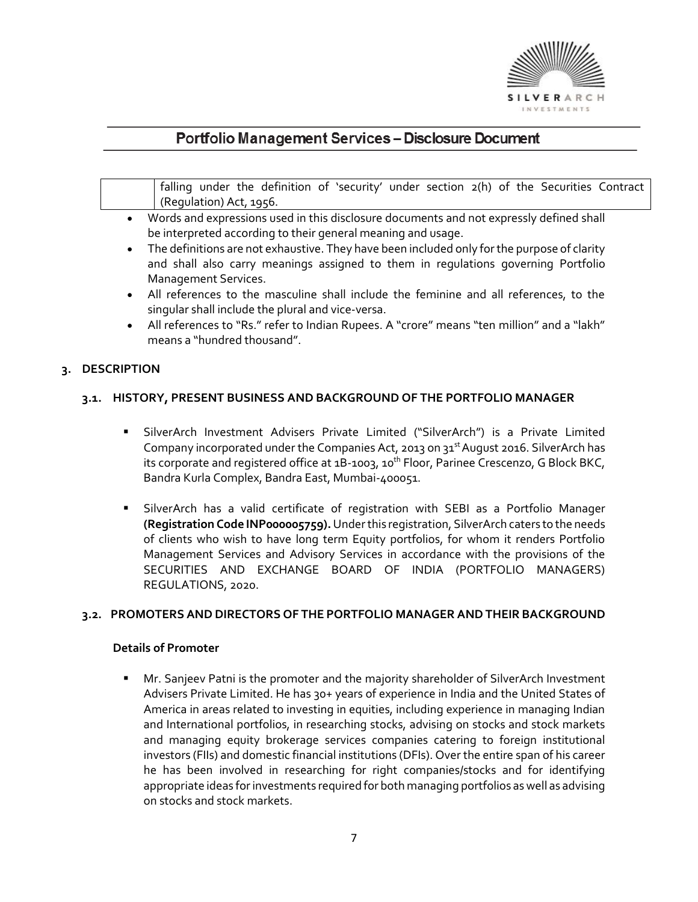

## falling under the definition of 'security' under section 2(h) of the Securities Contract (Regulation) Act, 1956.

- Words and expressions used in this disclosure documents and not expressly defined shall be interpreted according to their general meaning and usage.
- The definitions are not exhaustive. They have been included only for the purpose of clarity and shall also carry meanings assigned to them in regulations governing Portfolio Management Services.
- All references to the masculine shall include the feminine and all references, to the singular shall include the plural and vice-versa.
- All references to "Rs." refer to Indian Rupees. A "crore" means "ten million" and a "lakh" means a "hundred thousand".

## **3. DESCRIPTION**

## **3.1. HISTORY, PRESENT BUSINESS AND BACKGROUND OF THE PORTFOLIO MANAGER**

- SilverArch Investment Advisers Private Limited ("SilverArch") is a Private Limited Company incorporated under the Companies Act, 2013 on 31<sup>st</sup> August 2016. SilverArch has its corporate and registered office at 1B-1003, 10<sup>th</sup> Floor, Parinee Crescenzo, G Block BKC, Bandra Kurla Complex, Bandra East, Mumbai-400051.
- SilverArch has a valid certificate of registration with SEBI as a Portfolio Manager **(Registration Code INP000005759).** Under this registration, SilverArch caters to the needs of clients who wish to have long term Equity portfolios, for whom it renders Portfolio Management Services and Advisory Services in accordance with the provisions of the SECURITIES AND EXCHANGE BOARD OF INDIA (PORTFOLIO MANAGERS) REGULATIONS, 2020.

### **3.2. PROMOTERS AND DIRECTORS OF THE PORTFOLIO MANAGER AND THEIR BACKGROUND**

#### **Details of Promoter**

Mr. Sanjeev Patni is the promoter and the majority shareholder of SilverArch Investment Advisers Private Limited. He has 30+ years of experience in India and the United States of America in areas related to investing in equities, including experience in managing Indian and International portfolios, in researching stocks, advising on stocks and stock markets and managing equity brokerage services companies catering to foreign institutional investors (FIIs) and domestic financial institutions (DFIs). Over the entire span of his career he has been involved in researching for right companies/stocks and for identifying appropriate ideas for investments required for both managing portfolios as well as advising on stocks and stock markets.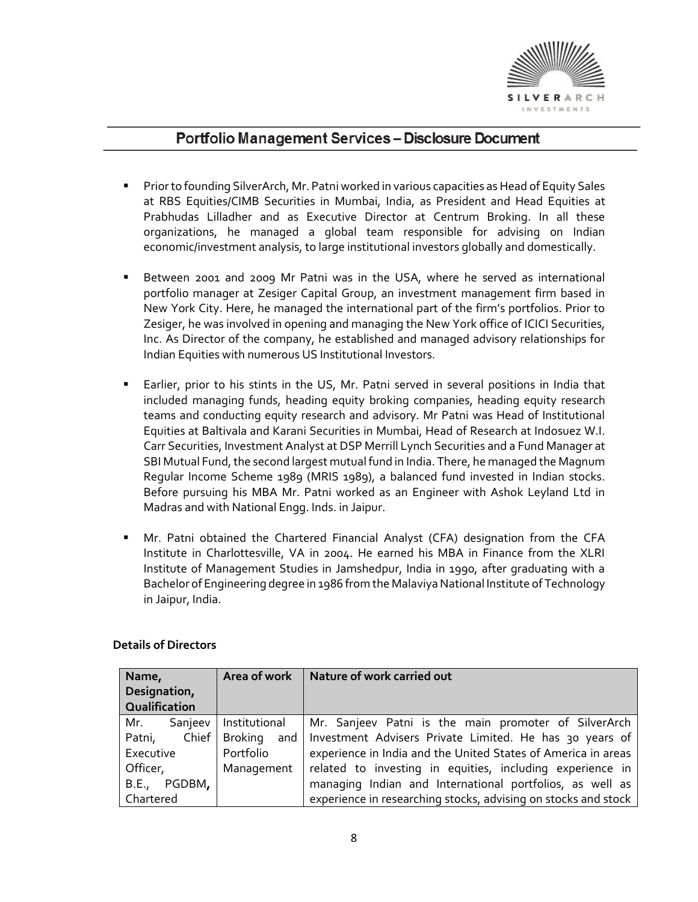

- Prior to founding SilverArch, Mr. Patni worked in various capacities as Head of Equity Sales at RBS Equities/CIMB Securities in Mumbai, India, as President and Head Equities at Prabhudas Lilladher and as Executive Director at Centrum Broking. In all these organizations, he managed a global team responsible for advising on Indian economic/investment analysis, to large institutional investors globally and domestically.
- **E** Between 2001 and 2009 Mr Patni was in the USA, where he served as international portfolio manager at Zesiger Capital Group, an investment management firm based in New York City. Here, he managed the international part of the firm's portfolios. Prior to Zesiger, he was involved in opening and managing the New York office of ICICI Securities, Inc. As Director of the company, he established and managed advisory relationships for Indian Equities with numerous US Institutional Investors.
- **Earlier, prior to his stints in the US, Mr. Patni served in several positions in India that** included managing funds, heading equity broking companies, heading equity research teams and conducting equity research and advisory. Mr Patni was Head of Institutional Equities at Baltivala and Karani Securities in Mumbai, Head of Research at Indosuez W.I. Carr Securities, Investment Analyst at DSP Merrill Lynch Securities and a Fund Manager at SBI Mutual Fund, the second largest mutual fund in India. There, he managed the Magnum Regular Income Scheme 1989 (MRIS 1989), a balanced fund invested in Indian stocks. Before pursuing his MBA Mr. Patni worked as an Engineer with Ashok Leyland Ltd in Madras and with National Engg. Inds. in Jaipur.
- Mr. Patni obtained the Chartered Financial Analyst (CFA) designation from the CFA Institute in Charlottesville, VA in 2004. He earned his MBA in Finance from the XLRI Institute of Management Studies in Jamshedpur, India in 1990, after graduating with a Bachelor of Engineering degree in 1986 from the Malaviya National Institute of Technology in Jaipur, India.

| Name,<br>Designation,<br>Qualification |              | Area of work          | Nature of work carried out                                     |  |
|----------------------------------------|--------------|-----------------------|----------------------------------------------------------------|--|
| Mr.                                    | Sanjeev      | Institutional         | Mr. Sanjeev Patni is the main promoter of SilverArch           |  |
|                                        | Patni, Chief | <b>Broking</b><br>and | Investment Advisers Private Limited. He has 30 years of        |  |
| Executive                              |              | Portfolio             | experience in India and the United States of America in areas  |  |
| Officer,                               |              | Management            | related to investing in equities, including experience in      |  |
|                                        | B.E., PGDBM, |                       | managing Indian and International portfolios, as well as       |  |
| Chartered                              |              |                       | experience in researching stocks, advising on stocks and stock |  |

## **Details of Directors**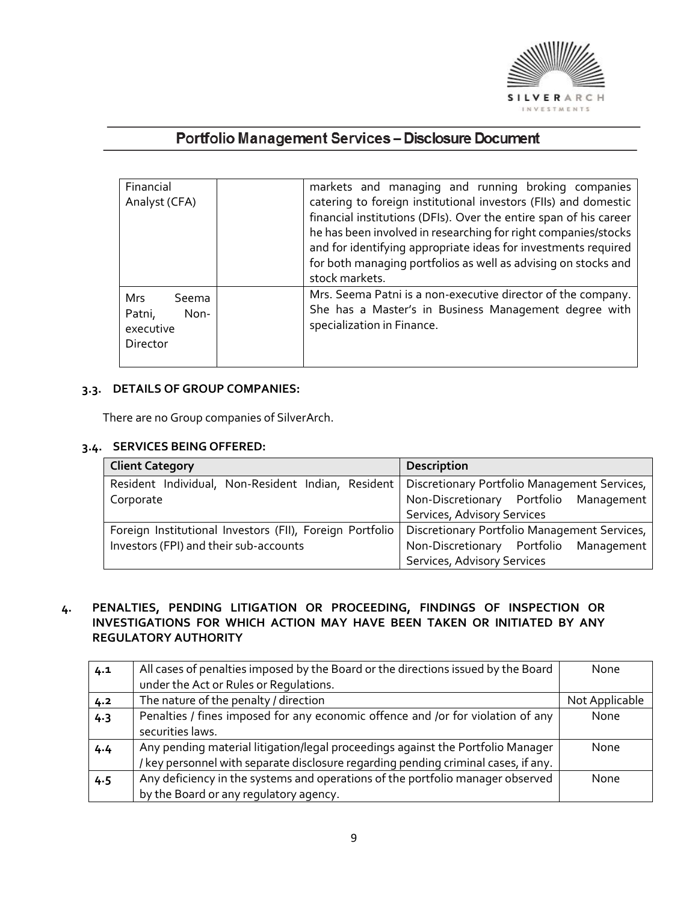

| Financial<br>Analyst (CFA)                                     | markets and managing and running broking companies<br>catering to foreign institutional investors (FIIs) and domestic<br>financial institutions (DFIs). Over the entire span of his career<br>he has been involved in researching for right companies/stocks<br>and for identifying appropriate ideas for investments required<br>for both managing portfolios as well as advising on stocks and |  |  |
|----------------------------------------------------------------|--------------------------------------------------------------------------------------------------------------------------------------------------------------------------------------------------------------------------------------------------------------------------------------------------------------------------------------------------------------------------------------------------|--|--|
| <b>Mrs</b><br>Seema<br>Non-<br>Patni,<br>executive<br>Director | stock markets.<br>Mrs. Seema Patni is a non-executive director of the company.<br>She has a Master's in Business Management degree with<br>specialization in Finance.                                                                                                                                                                                                                            |  |  |

## **3.3. DETAILS OF GROUP COMPANIES:**

There are no Group companies of SilverArch.

## **3.4. SERVICES BEING OFFERED:**

| <b>Client Category</b>                                                                                  | <b>Description</b>                     |
|---------------------------------------------------------------------------------------------------------|----------------------------------------|
| Resident Individual, Non-Resident Indian, Resident   Discretionary Portfolio Management Services,       |                                        |
| Corporate                                                                                               | Non-Discretionary Portfolio Management |
|                                                                                                         | Services, Advisory Services            |
| Foreign Institutional Investors (FII), Foreign Portfolio   Discretionary Portfolio Management Services, |                                        |
| Investors (FPI) and their sub-accounts                                                                  | Non-Discretionary Portfolio Management |
|                                                                                                         | Services, Advisory Services            |

## **4. PENALTIES, PENDING LITIGATION OR PROCEEDING, FINDINGS OF INSPECTION OR INVESTIGATIONS FOR WHICH ACTION MAY HAVE BEEN TAKEN OR INITIATED BY ANY REGULATORY AUTHORITY**

| 4.1 | All cases of penalties imposed by the Board or the directions issued by the Board | None           |
|-----|-----------------------------------------------------------------------------------|----------------|
|     | under the Act or Rules or Regulations.                                            |                |
| 4.2 | The nature of the penalty / direction                                             | Not Applicable |
| 4.3 | Penalties / fines imposed for any economic offence and /or for violation of any   | None           |
|     | securities laws.                                                                  |                |
| 4.4 | Any pending material litigation/legal proceedings against the Portfolio Manager   | None           |
|     | /key personnel with separate disclosure regarding pending criminal cases, if any. |                |
| 4.5 | Any deficiency in the systems and operations of the portfolio manager observed    | None           |
|     | by the Board or any regulatory agency.                                            |                |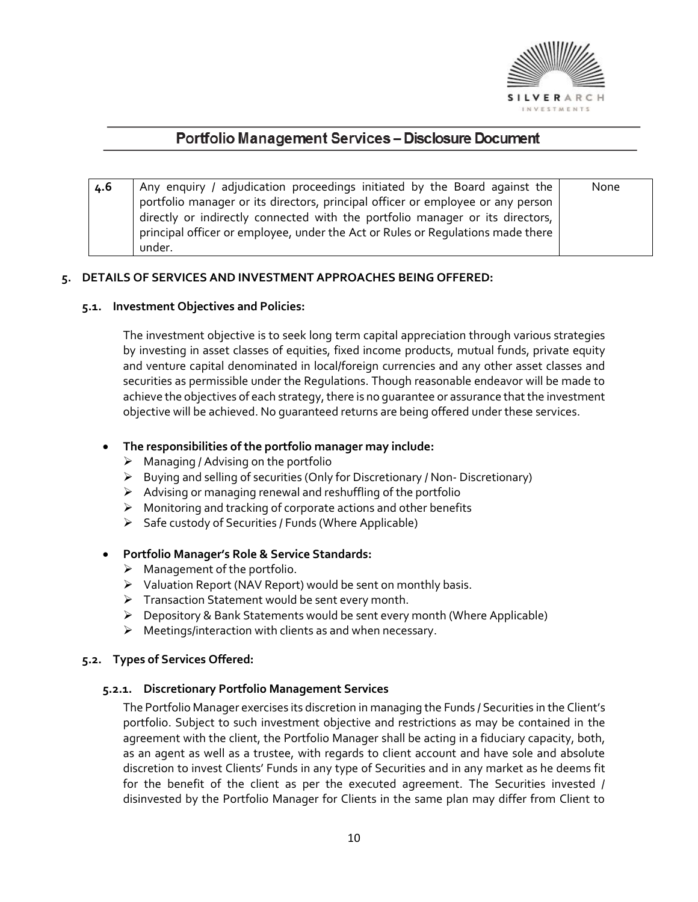

| 4.6 | Any enquiry / adjudication proceedings initiated by the Board against the       | None |
|-----|---------------------------------------------------------------------------------|------|
|     | portfolio manager or its directors, principal officer or employee or any person |      |
|     | directly or indirectly connected with the portfolio manager or its directors,   |      |
|     | principal officer or employee, under the Act or Rules or Regulations made there |      |
|     | under.                                                                          |      |

## **5. DETAILS OF SERVICES AND INVESTMENT APPROACHES BEING OFFERED:**

### **5.1. Investment Objectives and Policies:**

The investment objective is to seek long term capital appreciation through various strategies by investing in asset classes of equities, fixed income products, mutual funds, private equity and venture capital denominated in local/foreign currencies and any other asset classes and securities as permissible under the Regulations. Though reasonable endeavor will be made to achieve the objectives of each strategy, there is no guarantee or assurance that the investment objective will be achieved. No guaranteed returns are being offered under these services.

## • **The responsibilities of the portfolio manager may include:**

- $\triangleright$  Managing / Advising on the portfolio
- ➢ Buying and selling of securities (Only for Discretionary / Non- Discretionary)
- $\triangleright$  Advising or managing renewal and reshuffling of the portfolio
- ➢ Monitoring and tracking of corporate actions and other benefits
- ➢ Safe custody of Securities / Funds (Where Applicable)

## • **Portfolio Manager's Role & Service Standards:**

- $\triangleright$  Management of the portfolio.
- ➢ Valuation Report (NAV Report) would be sent on monthly basis.
- ➢ Transaction Statement would be sent every month.
- ➢ Depository & Bank Statements would be sent every month (Where Applicable)
- $\triangleright$  Meetings/interaction with clients as and when necessary.

#### **5.2. Types of Services Offered:**

#### **5.2.1. Discretionary Portfolio Management Services**

The Portfolio Manager exercises its discretion in managing the Funds / Securities in the Client's portfolio. Subject to such investment objective and restrictions as may be contained in the agreement with the client, the Portfolio Manager shall be acting in a fiduciary capacity, both, as an agent as well as a trustee, with regards to client account and have sole and absolute discretion to invest Clients' Funds in any type of Securities and in any market as he deems fit for the benefit of the client as per the executed agreement. The Securities invested / disinvested by the Portfolio Manager for Clients in the same plan may differ from Client to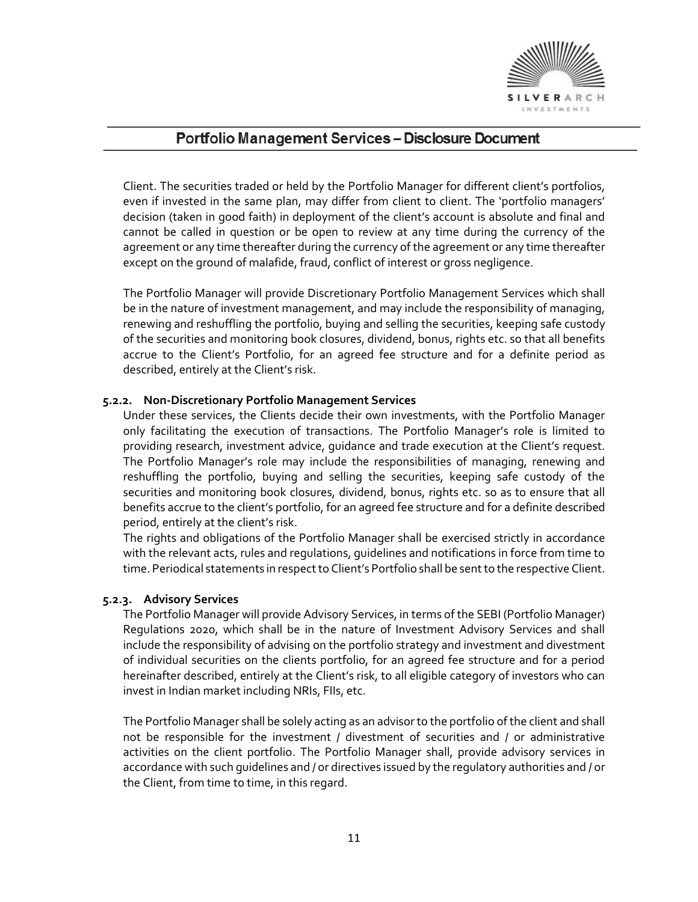

Client. The securities traded or held by the Portfolio Manager for different client's portfolios, even if invested in the same plan, may differ from client to client. The 'portfolio managers' decision (taken in good faith) in deployment of the client's account is absolute and final and cannot be called in question or be open to review at any time during the currency of the agreement or any time thereafter during the currency of the agreement or any time thereafter except on the ground of malafide, fraud, conflict of interest or gross negligence.

The Portfolio Manager will provide Discretionary Portfolio Management Services which shall be in the nature of investment management, and may include the responsibility of managing, renewing and reshuffling the portfolio, buying and selling the securities, keeping safe custody of the securities and monitoring book closures, dividend, bonus, rights etc. so that all benefits accrue to the Client's Portfolio, for an agreed fee structure and for a definite period as described, entirely at the Client's risk.

#### **5.2.2. Non-Discretionary Portfolio Management Services**

Under these services, the Clients decide their own investments, with the Portfolio Manager only facilitating the execution of transactions. The Portfolio Manager's role is limited to providing research, investment advice, guidance and trade execution at the Client's request. The Portfolio Manager's role may include the responsibilities of managing, renewing and reshuffling the portfolio, buying and selling the securities, keeping safe custody of the securities and monitoring book closures, dividend, bonus, rights etc. so as to ensure that all benefits accrue to the client's portfolio, for an agreed fee structure and for a definite described period, entirely at the client's risk.

The rights and obligations of the Portfolio Manager shall be exercised strictly in accordance with the relevant acts, rules and regulations, guidelines and notifications in force from time to time. Periodical statements in respect to Client's Portfolio shall be sent to the respective Client.

#### **5.2.3. Advisory Services**

The Portfolio Manager will provide Advisory Services, in terms of the SEBI (Portfolio Manager) Regulations 2020, which shall be in the nature of Investment Advisory Services and shall include the responsibility of advising on the portfolio strategy and investment and divestment of individual securities on the clients portfolio, for an agreed fee structure and for a period hereinafter described, entirely at the Client's risk, to all eligible category of investors who can invest in Indian market including NRIs, FIIs, etc.

The Portfolio Manager shall be solely acting as an advisor to the portfolio of the client and shall not be responsible for the investment / divestment of securities and / or administrative activities on the client portfolio. The Portfolio Manager shall, provide advisory services in accordance with such guidelines and / or directives issued by the regulatory authorities and / or the Client, from time to time, in this regard.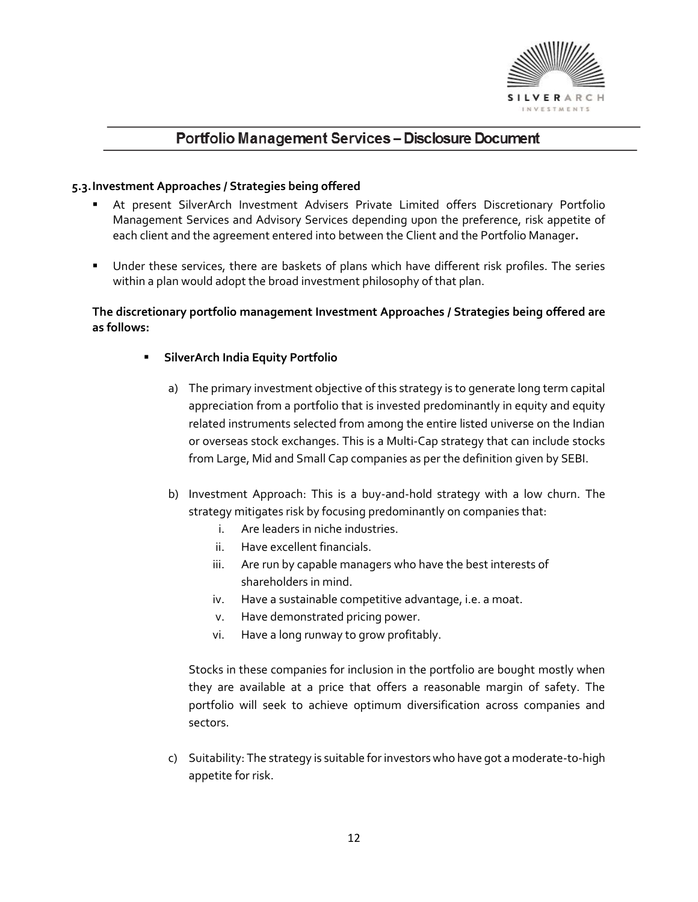

#### **5.3.Investment Approaches / Strategies being offered**

- At present SilverArch Investment Advisers Private Limited offers Discretionary Portfolio Management Services and Advisory Services depending upon the preference, risk appetite of each client and the agreement entered into between the Client and the Portfolio Manager**.**
- **■** Under these services, there are baskets of plans which have different risk profiles. The series within a plan would adopt the broad investment philosophy of that plan.

## **The discretionary portfolio management Investment Approaches / Strategies being offered are as follows:**

- **SilverArch India Equity Portfolio** 
	- a) The primary investment objective of this strategy is to generate long term capital appreciation from a portfolio that is invested predominantly in equity and equity related instruments selected from among the entire listed universe on the Indian or overseas stock exchanges. This is a Multi-Cap strategy that can include stocks from Large, Mid and Small Cap companies as per the definition given by SEBI.
	- b) Investment Approach: This is a buy-and-hold strategy with a low churn. The strategy mitigates risk by focusing predominantly on companies that:
		- i. Are leaders in niche industries.
		- ii. Have excellent financials.
		- iii. Are run by capable managers who have the best interests of shareholders in mind.
		- iv. Have a sustainable competitive advantage, i.e. a moat.
		- v. Have demonstrated pricing power.
		- vi. Have a long runway to grow profitably.

Stocks in these companies for inclusion in the portfolio are bought mostly when they are available at a price that offers a reasonable margin of safety. The portfolio will seek to achieve optimum diversification across companies and sectors.

c) Suitability: The strategy is suitable forinvestors who have got a moderate-to-high appetite for risk.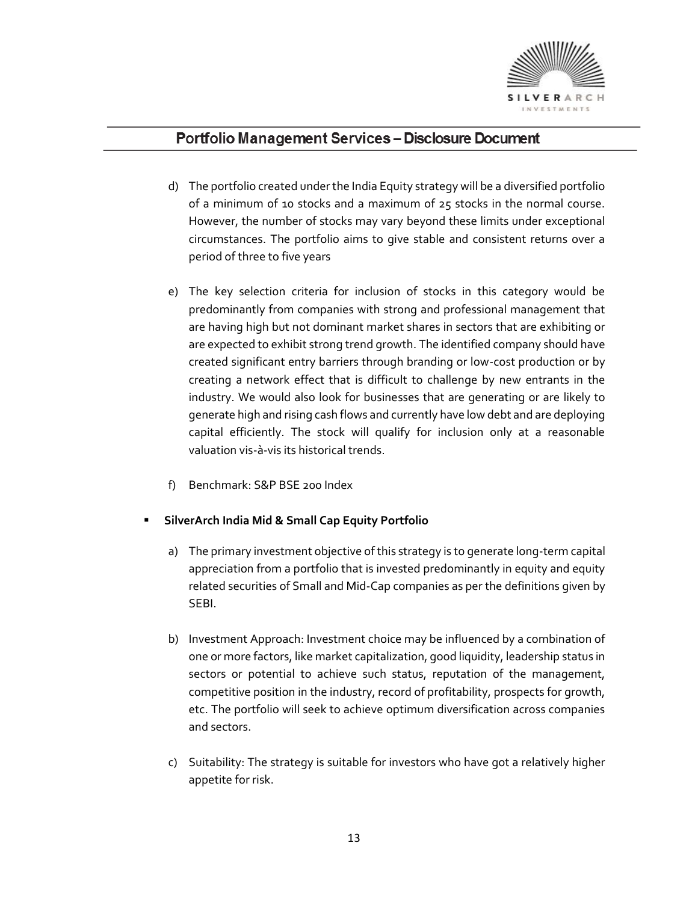

- d) The portfolio created under the India Equity strategy will be a diversified portfolio of a minimum of 10 stocks and a maximum of 25 stocks in the normal course. However, the number of stocks may vary beyond these limits under exceptional circumstances. The portfolio aims to give stable and consistent returns over a period of three to five years
- e) The key selection criteria for inclusion of stocks in this category would be predominantly from companies with strong and professional management that are having high but not dominant market shares in sectors that are exhibiting or are expected to exhibit strong trend growth. The identified company should have created significant entry barriers through branding or low-cost production or by creating a network effect that is difficult to challenge by new entrants in the industry. We would also look for businesses that are generating or are likely to generate high and rising cash flows and currently have low debt and are deploying capital efficiently. The stock will qualify for inclusion only at a reasonable valuation vis-à-vis its historical trends.
- f) Benchmark: S&P BSE 200 Index
- **SilverArch India Mid & Small Cap Equity Portfolio** 
	- a) The primary investment objective of this strategy is to generate long-term capital appreciation from a portfolio that is invested predominantly in equity and equity related securities of Small and Mid-Cap companies as per the definitions given by SEBI.
	- b) Investment Approach: Investment choice may be influenced by a combination of one or more factors, like market capitalization, good liquidity, leadership status in sectors or potential to achieve such status, reputation of the management, competitive position in the industry, record of profitability, prospects for growth, etc. The portfolio will seek to achieve optimum diversification across companies and sectors.
	- c) Suitability: The strategy is suitable for investors who have got a relatively higher appetite for risk.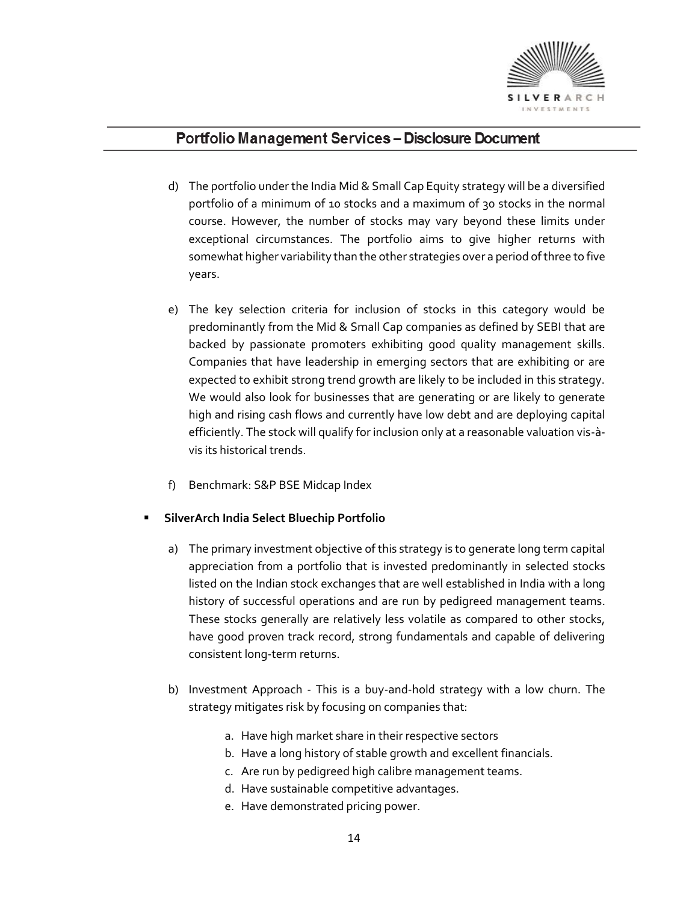

- d) The portfolio under the India Mid & Small Cap Equity strategy will be a diversified portfolio of a minimum of 10 stocks and a maximum of 30 stocks in the normal course. However, the number of stocks may vary beyond these limits under exceptional circumstances. The portfolio aims to give higher returns with somewhat higher variability than the other strategies over a period of three to five years.
- e) The key selection criteria for inclusion of stocks in this category would be predominantly from the Mid & Small Cap companies as defined by SEBI that are backed by passionate promoters exhibiting good quality management skills. Companies that have leadership in emerging sectors that are exhibiting or are expected to exhibit strong trend growth are likely to be included in this strategy. We would also look for businesses that are generating or are likely to generate high and rising cash flows and currently have low debt and are deploying capital efficiently. The stock will qualify for inclusion only at a reasonable valuation vis-àvis its historical trends.
- f) Benchmark: S&P BSE Midcap Index

## ▪ **SilverArch India Select Bluechip Portfolio**

- a) The primary investment objective of this strategy is to generate long term capital appreciation from a portfolio that is invested predominantly in selected stocks listed on the Indian stock exchanges that are well established in India with a long history of successful operations and are run by pedigreed management teams. These stocks generally are relatively less volatile as compared to other stocks, have good proven track record, strong fundamentals and capable of delivering consistent long-term returns.
- b) Investment Approach This is a buy-and-hold strategy with a low churn. The strategy mitigates risk by focusing on companies that:
	- a. Have high market share in their respective sectors
	- b. Have a long history of stable growth and excellent financials.
	- c. Are run by pedigreed high calibre management teams.
	- d. Have sustainable competitive advantages.
	- e. Have demonstrated pricing power.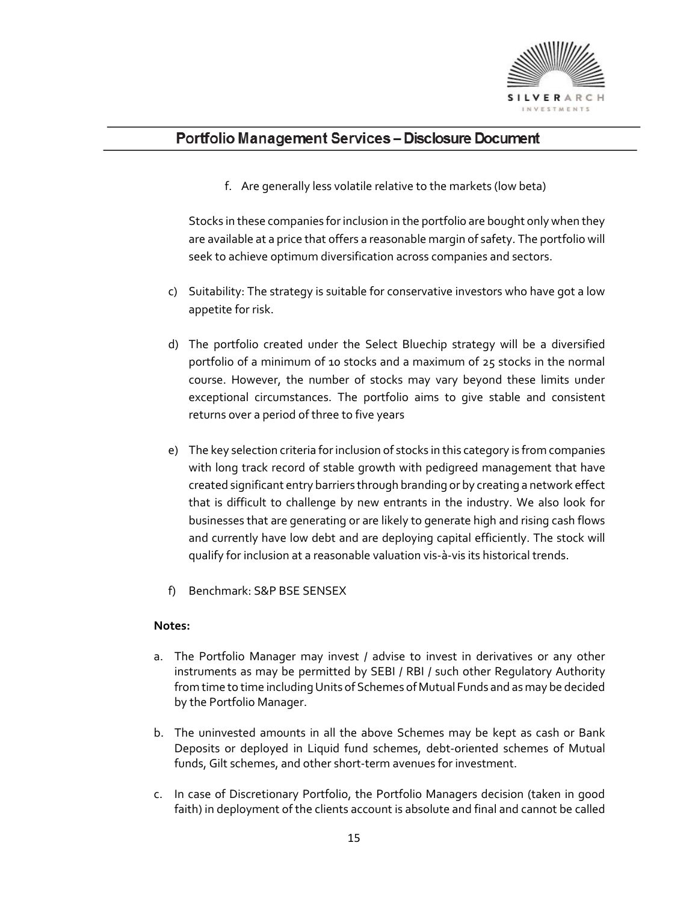

f. Are generally less volatile relative to the markets (low beta)

Stocks in these companies for inclusion in the portfolio are bought only when they are available at a price that offers a reasonable margin of safety. The portfolio will seek to achieve optimum diversification across companies and sectors.

- c) Suitability: The strategy is suitable for conservative investors who have got a low appetite for risk.
- d) The portfolio created under the Select Bluechip strategy will be a diversified portfolio of a minimum of 10 stocks and a maximum of 25 stocks in the normal course. However, the number of stocks may vary beyond these limits under exceptional circumstances. The portfolio aims to give stable and consistent returns over a period of three to five years
- e) The key selection criteria for inclusion of stocks in this category is from companies with long track record of stable growth with pedigreed management that have created significant entry barriers through branding or by creating a network effect that is difficult to challenge by new entrants in the industry. We also look for businesses that are generating or are likely to generate high and rising cash flows and currently have low debt and are deploying capital efficiently. The stock will qualify for inclusion at a reasonable valuation vis-à-vis its historical trends.
- f) Benchmark: S&P BSE SENSEX

#### **Notes:**

- a. The Portfolio Manager may invest / advise to invest in derivatives or any other instruments as may be permitted by SEBI / RBI / such other Regulatory Authority from time to time including Units of Schemes of Mutual Funds and as may be decided by the Portfolio Manager.
- b. The uninvested amounts in all the above Schemes may be kept as cash or Bank Deposits or deployed in Liquid fund schemes, debt-oriented schemes of Mutual funds, Gilt schemes, and other short-term avenues for investment.
- c. In case of Discretionary Portfolio, the Portfolio Managers decision (taken in good faith) in deployment of the clients account is absolute and final and cannot be called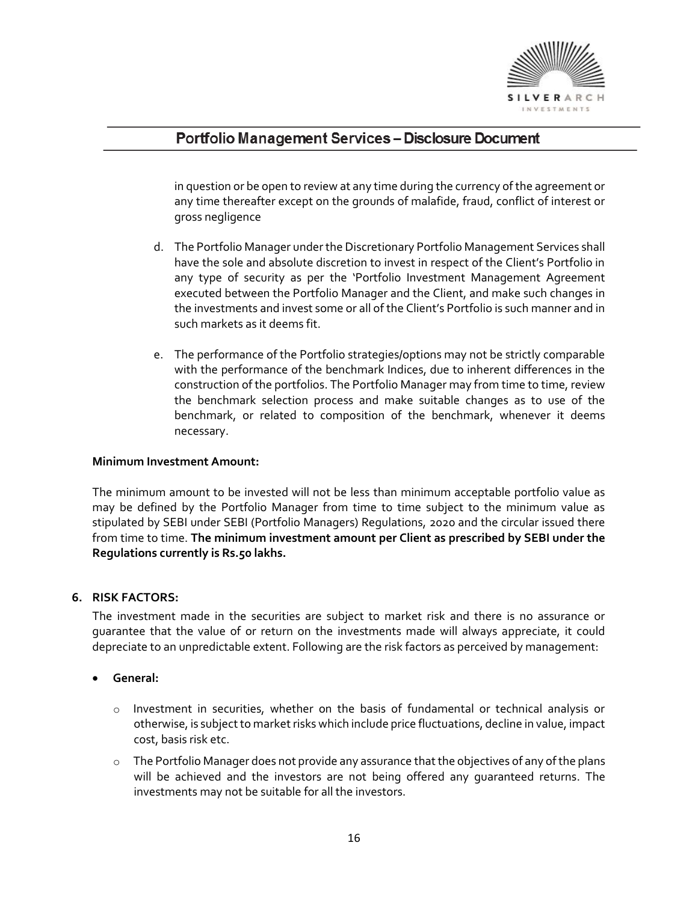

in question or be open to review at any time during the currency of the agreement or any time thereafter except on the grounds of malafide, fraud, conflict of interest or gross negligence

- d. The Portfolio Manager under the Discretionary Portfolio Management Services shall have the sole and absolute discretion to invest in respect of the Client's Portfolio in any type of security as per the 'Portfolio Investment Management Agreement executed between the Portfolio Manager and the Client, and make such changes in the investments and invest some or all of the Client's Portfolio is such manner and in such markets as it deems fit.
- e. The performance of the Portfolio strategies/options may not be strictly comparable with the performance of the benchmark Indices, due to inherent differences in the construction of the portfolios. The Portfolio Manager may from time to time, review the benchmark selection process and make suitable changes as to use of the benchmark, or related to composition of the benchmark, whenever it deems necessary.

#### **Minimum Investment Amount:**

The minimum amount to be invested will not be less than minimum acceptable portfolio value as may be defined by the Portfolio Manager from time to time subject to the minimum value as stipulated by SEBI under SEBI (Portfolio Managers) Regulations, 2020 and the circular issued there from time to time. **The minimum investment amount per Client as prescribed by SEBI under the Regulations currently is Rs.50 lakhs.**

#### **6. RISK FACTORS:**

The investment made in the securities are subject to market risk and there is no assurance or guarantee that the value of or return on the investments made will always appreciate, it could depreciate to an unpredictable extent. Following are the risk factors as perceived by management:

#### • **General:**

- $\circ$  Investment in securities, whether on the basis of fundamental or technical analysis or otherwise, is subject to market risks which include price fluctuations, decline in value, impact cost, basis risk etc.
- $\circ$  The Portfolio Manager does not provide any assurance that the objectives of any of the plans will be achieved and the investors are not being offered any guaranteed returns. The investments may not be suitable for all the investors.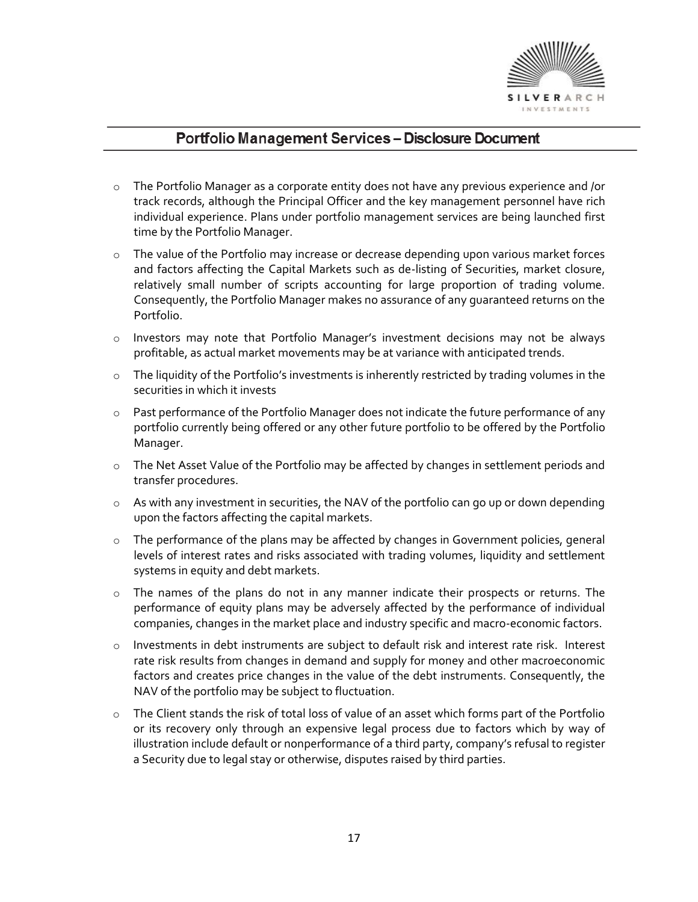

- $\circ$  The Portfolio Manager as a corporate entity does not have any previous experience and /or track records, although the Principal Officer and the key management personnel have rich individual experience. Plans under portfolio management services are being launched first time by the Portfolio Manager.
- $\circ$  The value of the Portfolio may increase or decrease depending upon various market forces and factors affecting the Capital Markets such as de-listing of Securities, market closure, relatively small number of scripts accounting for large proportion of trading volume. Consequently, the Portfolio Manager makes no assurance of any guaranteed returns on the Portfolio.
- o Investors may note that Portfolio Manager's investment decisions may not be always profitable, as actual market movements may be at variance with anticipated trends.
- o The liquidity of the Portfolio's investments is inherently restricted by trading volumes in the securities in which it invests
- $\circ$  Past performance of the Portfolio Manager does not indicate the future performance of any portfolio currently being offered or any other future portfolio to be offered by the Portfolio Manager.
- $\circ$  The Net Asset Value of the Portfolio may be affected by changes in settlement periods and transfer procedures.
- $\circ$  As with any investment in securities, the NAV of the portfolio can go up or down depending upon the factors affecting the capital markets.
- $\circ$  The performance of the plans may be affected by changes in Government policies, general levels of interest rates and risks associated with trading volumes, liquidity and settlement systems in equity and debt markets.
- $\circ$  The names of the plans do not in any manner indicate their prospects or returns. The performance of equity plans may be adversely affected by the performance of individual companies, changes in the market place and industry specific and macro-economic factors.
- o Investments in debt instruments are subject to default risk and interest rate risk. Interest rate risk results from changes in demand and supply for money and other macroeconomic factors and creates price changes in the value of the debt instruments. Consequently, the NAV of the portfolio may be subject to fluctuation.
- o The Client stands the risk of total loss of value of an asset which forms part of the Portfolio or its recovery only through an expensive legal process due to factors which by way of illustration include default or nonperformance of a third party, company's refusal to register a Security due to legal stay or otherwise, disputes raised by third parties.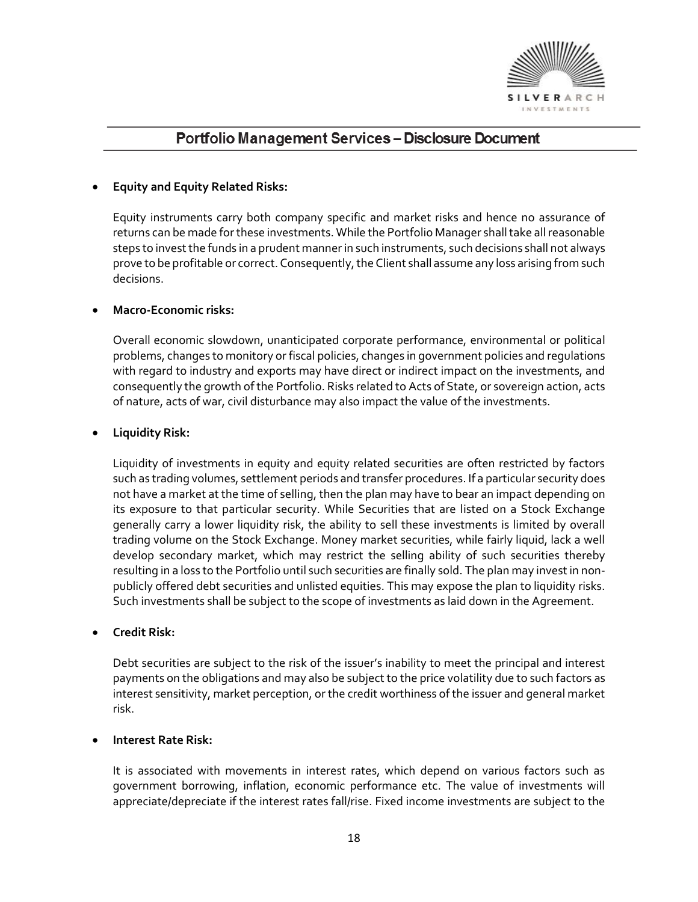

## • **Equity and Equity Related Risks:**

Equity instruments carry both company specific and market risks and hence no assurance of returns can be made for these investments. While the Portfolio Manager shall take all reasonable steps to invest the funds in a prudent manner in such instruments, such decisions shall not always prove to be profitable or correct. Consequently, the Client shall assume any loss arising from such decisions.

## • **Macro-Economic risks:**

Overall economic slowdown, unanticipated corporate performance, environmental or political problems, changes to monitory or fiscal policies, changes in government policies and regulations with regard to industry and exports may have direct or indirect impact on the investments, and consequently the growth of the Portfolio. Risks related to Acts of State, or sovereign action, acts of nature, acts of war, civil disturbance may also impact the value of the investments.

## • **Liquidity Risk:**

Liquidity of investments in equity and equity related securities are often restricted by factors such as trading volumes, settlement periods and transfer procedures. If a particular security does not have a market at the time of selling, then the plan may have to bear an impact depending on its exposure to that particular security. While Securities that are listed on a Stock Exchange generally carry a lower liquidity risk, the ability to sell these investments is limited by overall trading volume on the Stock Exchange. Money market securities, while fairly liquid, lack a well develop secondary market, which may restrict the selling ability of such securities thereby resulting in a loss to the Portfolio until such securities are finally sold. The plan may invest in nonpublicly offered debt securities and unlisted equities. This may expose the plan to liquidity risks. Such investments shall be subject to the scope of investments as laid down in the Agreement.

## • **Credit Risk:**

Debt securities are subject to the risk of the issuer's inability to meet the principal and interest payments on the obligations and may also be subject to the price volatility due to such factors as interest sensitivity, market perception, or the credit worthiness of the issuer and general market risk.

## • **Interest Rate Risk:**

It is associated with movements in interest rates, which depend on various factors such as government borrowing, inflation, economic performance etc. The value of investments will appreciate/depreciate if the interest rates fall/rise. Fixed income investments are subject to the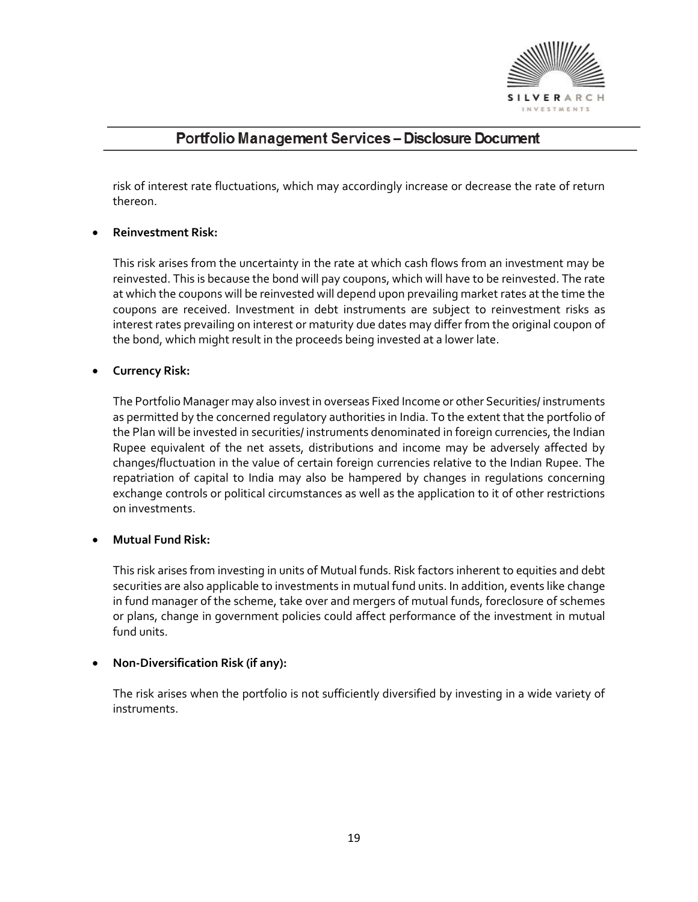

risk of interest rate fluctuations, which may accordingly increase or decrease the rate of return thereon.

## • **Reinvestment Risk:**

This risk arises from the uncertainty in the rate at which cash flows from an investment may be reinvested. This is because the bond will pay coupons, which will have to be reinvested. The rate at which the coupons will be reinvested will depend upon prevailing market rates at the time the coupons are received. Investment in debt instruments are subject to reinvestment risks as interest rates prevailing on interest or maturity due dates may differ from the original coupon of the bond, which might result in the proceeds being invested at a lower late.

### • **Currency Risk:**

The Portfolio Manager may also invest in overseas Fixed Income or other Securities/ instruments as permitted by the concerned regulatory authorities in India. To the extent that the portfolio of the Plan will be invested in securities/ instruments denominated in foreign currencies, the Indian Rupee equivalent of the net assets, distributions and income may be adversely affected by changes/fluctuation in the value of certain foreign currencies relative to the Indian Rupee. The repatriation of capital to India may also be hampered by changes in regulations concerning exchange controls or political circumstances as well as the application to it of other restrictions on investments.

## • **Mutual Fund Risk:**

This risk arises from investing in units of Mutual funds. Risk factors inherent to equities and debt securities are also applicable to investments in mutual fund units. In addition, events like change in fund manager of the scheme, take over and mergers of mutual funds, foreclosure of schemes or plans, change in government policies could affect performance of the investment in mutual fund units.

## • **Non-Diversification Risk (if any):**

The risk arises when the portfolio is not sufficiently diversified by investing in a wide variety of instruments.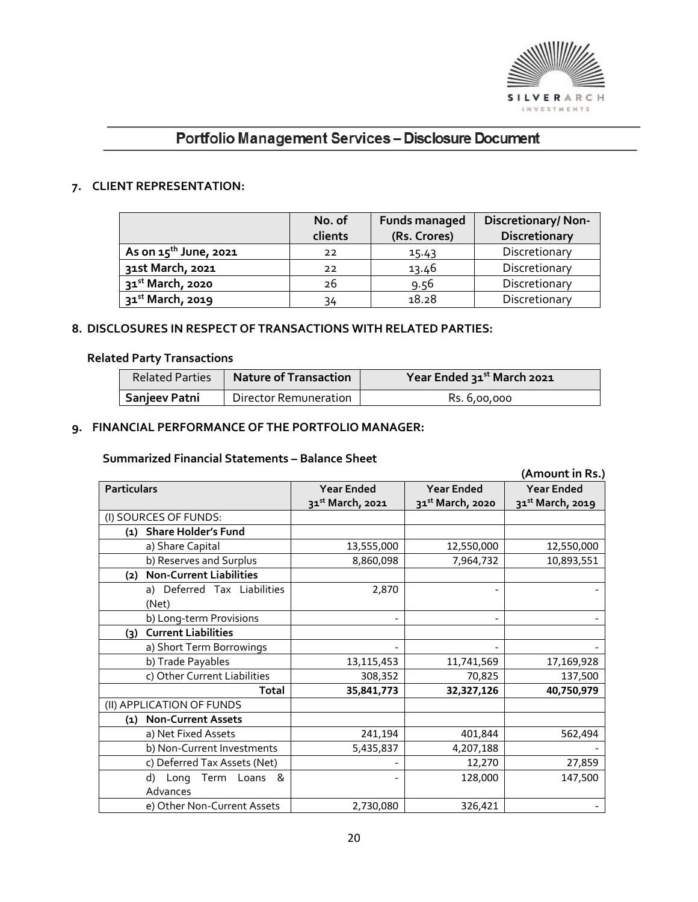

#### **7. CLIENT REPRESENTATION:**

|                              | No. of<br>clients | <b>Funds managed</b><br>(Rs. Crores) | <b>Discretionary/Non-</b><br>Discretionary |
|------------------------------|-------------------|--------------------------------------|--------------------------------------------|
| As on $15^{th}$ June, 2021   | 22                | 15.43                                | Discretionary                              |
| 31st March, 2021             | 22                | 13.46                                | Discretionary                              |
| 31 <sup>st</sup> March, 2020 | 26                | 9.56                                 | Discretionary                              |
| 31 <sup>st</sup> March, 2019 | 34                | 18.28                                | Discretionary                              |

#### **8. DISCLOSURES IN RESPECT OF TRANSACTIONS WITH RELATED PARTIES:**

## **Related Party Transactions**

| <b>Related Parties</b> | <b>Nature of Transaction</b> | Year Ended 31st March 2021 |  |
|------------------------|------------------------------|----------------------------|--|
| Sanjeev Patni          | Director Remuneration        | Rs. 6,00,000               |  |

## **9. FINANCIAL PERFORMANCE OF THE PORTFOLIO MANAGER:**

#### **Summarized Financial Statements – Balance Sheet**

|                                       |                              |                              | (Amount in Rs.)              |
|---------------------------------------|------------------------------|------------------------------|------------------------------|
| <b>Particulars</b>                    | <b>Year Ended</b>            | <b>Year Ended</b>            | <b>Year Ended</b>            |
|                                       | 31 <sup>st</sup> March, 2021 | 31 <sup>st</sup> March, 2020 | 31 <sup>st</sup> March, 2019 |
| (I) SOURCES OF FUNDS:                 |                              |                              |                              |
| (1) Share Holder's Fund               |                              |                              |                              |
| a) Share Capital                      | 13,555,000                   | 12,550,000                   | 12,550,000                   |
| b) Reserves and Surplus               | 8,860,098                    | 7,964,732                    | 10,893,551                   |
| <b>Non-Current Liabilities</b><br>(2) |                              |                              |                              |
| a) Deferred Tax Liabilities           | 2,870                        |                              |                              |
| (Net)                                 |                              |                              |                              |
| b) Long-term Provisions               |                              |                              |                              |
| <b>Current Liabilities</b><br>(3)     |                              |                              |                              |
| a) Short Term Borrowings              |                              |                              |                              |
| b) Trade Payables                     | 13,115,453                   | 11,741,569                   | 17,169,928                   |
| c) Other Current Liabilities          | 308,352                      | 70,825                       | 137,500                      |
| <b>Total</b>                          | 35,841,773                   | 32,327,126                   | 40,750,979                   |
| (II) APPLICATION OF FUNDS             |                              |                              |                              |
| <b>Non-Current Assets</b><br>(1)      |                              |                              |                              |
| a) Net Fixed Assets                   | 241,194                      | 401,844                      | 562,494                      |
| b) Non-Current Investments            | 5,435,837                    | 4,207,188                    |                              |
| c) Deferred Tax Assets (Net)          |                              | 12,270                       | 27,859                       |
| Long Term Loans<br>- &<br>d)          |                              | 128,000                      | 147,500                      |
| Advances                              |                              |                              |                              |
| e) Other Non-Current Assets           | 2,730,080                    | 326,421                      |                              |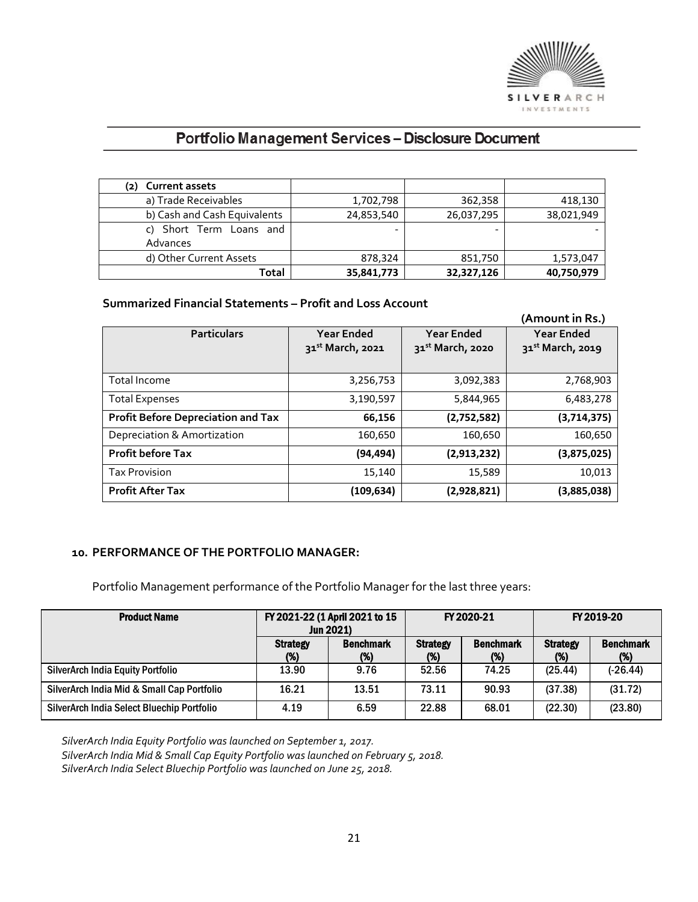

| <b>Current assets</b><br>(2) |            |            |            |
|------------------------------|------------|------------|------------|
| a) Trade Receivables         | 1,702,798  | 362,358    | 418,130    |
| b) Cash and Cash Equivalents | 24,853,540 | 26,037,295 | 38,021,949 |
| c) Short Term Loans and      |            |            |            |
| Advances                     |            |            |            |
| d) Other Current Assets      | 878,324    | 851,750    | 1,573,047  |
| Total                        | 35,841,773 | 32,327,126 | 40,750,979 |

## **Summarized Financial Statements – Profit and Loss Account**

|                                           |                                                   |                                                   | (Amount in Rs.)                                   |
|-------------------------------------------|---------------------------------------------------|---------------------------------------------------|---------------------------------------------------|
| <b>Particulars</b>                        | <b>Year Ended</b><br>31 <sup>st</sup> March, 2021 | <b>Year Ended</b><br>31 <sup>st</sup> March, 2020 | <b>Year Ended</b><br>31 <sup>st</sup> March, 2019 |
| Total Income                              | 3,256,753                                         | 3,092,383                                         | 2,768,903                                         |
| <b>Total Expenses</b>                     | 3,190,597                                         | 5,844,965                                         | 6,483,278                                         |
| <b>Profit Before Depreciation and Tax</b> | 66,156                                            | (2,752,582)                                       | (3,714,375)                                       |
| Depreciation & Amortization               | 160,650                                           | 160,650                                           | 160,650                                           |
| <b>Profit before Tax</b>                  | (94,494)                                          | (2,913,232)                                       | (3,875,025)                                       |
| <b>Tax Provision</b>                      | 15,140                                            | 15,589                                            | 10,013                                            |
| <b>Profit After Tax</b>                   | (109,634)                                         | (2,928,821)                                       | (3,885,038)                                       |

#### **10. PERFORMANCE OF THE PORTFOLIO MANAGER:**

Portfolio Management performance of the Portfolio Manager for the last three years:

| <b>Product Name</b>                        | FY 2021-22 (1 April 2021 to 15<br><b>Jun 2021)</b> |                            | FY 2020-21             |                         | FY 2019-20                |                            |
|--------------------------------------------|----------------------------------------------------|----------------------------|------------------------|-------------------------|---------------------------|----------------------------|
|                                            | <b>Strategy</b><br>$(\%)$                          | <b>Benchmark</b><br>$(\%)$ | <b>Strategy</b><br>(%) | <b>Benchmark</b><br>(%) | <b>Strategy</b><br>$(\%)$ | <b>Benchmark</b><br>$(\%)$ |
| <b>SilverArch India Equity Portfolio</b>   | 13.90                                              | 9.76                       | 52.56                  | 74.25                   | (25.44)                   | $(-26.44)$                 |
| SilverArch India Mid & Small Cap Portfolio | 16.21                                              | 13.51                      | 73.11                  | 90.93                   | (37.38)                   | (31.72)                    |
| SilverArch India Select Bluechip Portfolio | 4.19                                               | 6.59                       | 22.88                  | 68.01                   | (22.30)                   | (23.80)                    |

*SilverArch India Equity Portfolio was launched on September 1, 2017. SilverArch India Mid & Small Cap Equity Portfolio was launched on February 5, 2018. SilverArch India Select Bluechip Portfolio was launched on June 25, 2018.*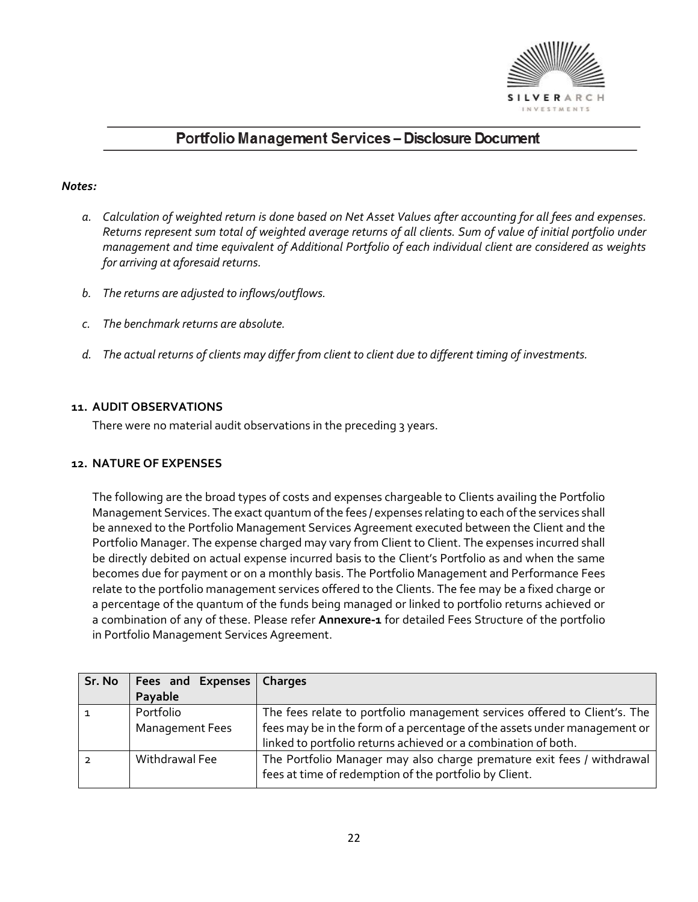

#### *Notes:*

- *a. Calculation of weighted return is done based on Net Asset Values after accounting for all fees and expenses. Returns represent sum total of weighted average returns of all clients. Sum of value of initial portfolio under management and time equivalent of Additional Portfolio of each individual client are considered as weights for arriving at aforesaid returns.*
- *b. The returns are adjusted to inflows/outflows.*
- *c. The benchmark returns are absolute.*
- *d. The actual returns of clients may differ from client to client due to different timing of investments.*

#### **11. AUDIT OBSERVATIONS**

There were no material audit observations in the preceding 3 years.

#### **12. NATURE OF EXPENSES**

The following are the broad types of costs and expenses chargeable to Clients availing the Portfolio Management Services. The exact quantum of the fees / expenses relating to each of the services shall be annexed to the Portfolio Management Services Agreement executed between the Client and the Portfolio Manager. The expense charged may vary from Client to Client. The expenses incurred shall be directly debited on actual expense incurred basis to the Client's Portfolio as and when the same becomes due for payment or on a monthly basis. The Portfolio Management and Performance Fees relate to the portfolio management services offered to the Clients. The fee may be a fixed charge or a percentage of the quantum of the funds being managed or linked to portfolio returns achieved or a combination of any of these. Please refer **Annexure**‐**1** for detailed Fees Structure of the portfolio in Portfolio Management Services Agreement.

| Sr. No | Fees and Expenses   Charges |                                                                           |
|--------|-----------------------------|---------------------------------------------------------------------------|
|        | Payable                     |                                                                           |
|        | Portfolio                   | The fees relate to portfolio management services offered to Client's. The |
|        | <b>Management Fees</b>      | fees may be in the form of a percentage of the assets under management or |
|        |                             | linked to portfolio returns achieved or a combination of both.            |
|        | Withdrawal Fee              | The Portfolio Manager may also charge premature exit fees / withdrawal    |
|        |                             | fees at time of redemption of the portfolio by Client.                    |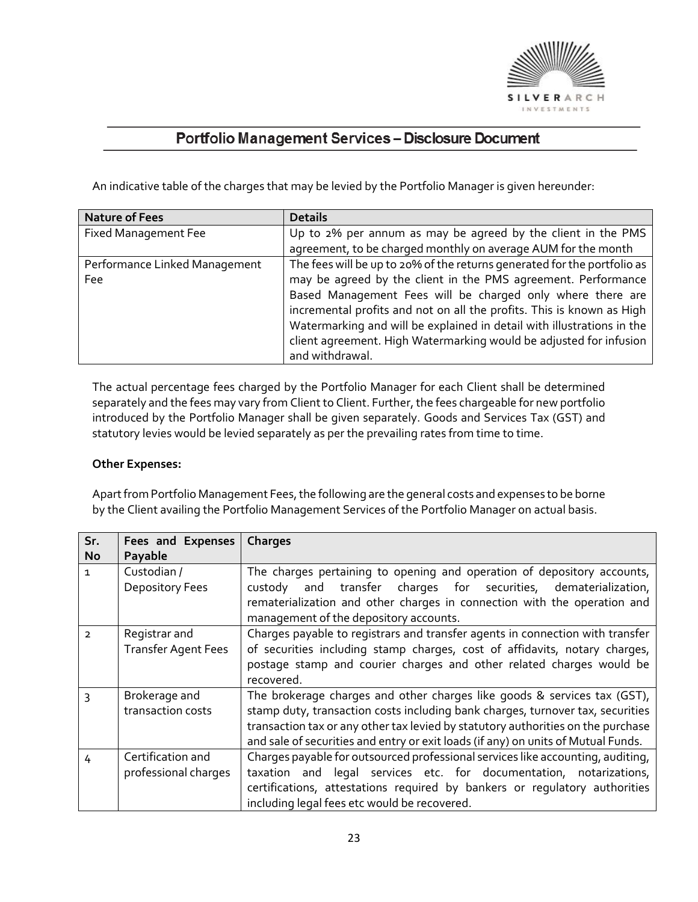

An indicative table of the charges that may be levied by the Portfolio Manager is given hereunder:

| <b>Nature of Fees</b>         | <b>Details</b>                                                           |
|-------------------------------|--------------------------------------------------------------------------|
| <b>Fixed Management Fee</b>   | Up to 2% per annum as may be agreed by the client in the PMS             |
|                               | agreement, to be charged monthly on average AUM for the month            |
| Performance Linked Management | The fees will be up to 20% of the returns generated for the portfolio as |
| Fee                           | may be agreed by the client in the PMS agreement. Performance            |
|                               | Based Management Fees will be charged only where there are               |
|                               | incremental profits and not on all the profits. This is known as High    |
|                               | Watermarking and will be explained in detail with illustrations in the   |
|                               | client agreement. High Watermarking would be adjusted for infusion       |
|                               | and withdrawal.                                                          |

The actual percentage fees charged by the Portfolio Manager for each Client shall be determined separately and the fees may vary from Client to Client. Further, the fees chargeable for new portfolio introduced by the Portfolio Manager shall be given separately. Goods and Services Tax (GST) and statutory levies would be levied separately as per the prevailing rates from time to time.

## **Other Expenses:**

Apart from Portfolio Management Fees, the following are the general costs and expenses to be borne by the Client availing the Portfolio Management Services of the Portfolio Manager on actual basis.

| Sr.            | Fees and Expenses          | Charges                                                                           |
|----------------|----------------------------|-----------------------------------------------------------------------------------|
| <b>No</b>      | Payable                    |                                                                                   |
| $\mathbf{1}$   | Custodian /                | The charges pertaining to opening and operation of depository accounts,           |
|                | <b>Depository Fees</b>     | transfer charges for securities, dematerialization,<br>custody and                |
|                |                            | rematerialization and other charges in connection with the operation and          |
|                |                            | management of the depository accounts.                                            |
| $\overline{2}$ | Registrar and              | Charges payable to registrars and transfer agents in connection with transfer     |
|                | <b>Transfer Agent Fees</b> | of securities including stamp charges, cost of affidavits, notary charges,        |
|                |                            | postage stamp and courier charges and other related charges would be              |
|                |                            | recovered.                                                                        |
| 3              | Brokerage and              | The brokerage charges and other charges like goods & services tax (GST),          |
|                | transaction costs          | stamp duty, transaction costs including bank charges, turnover tax, securities    |
|                |                            | transaction tax or any other tax levied by statutory authorities on the purchase  |
|                |                            | and sale of securities and entry or exit loads (if any) on units of Mutual Funds. |
| 4              | Certification and          | Charges payable for outsourced professional services like accounting, auditing,   |
|                | professional charges       | taxation and legal services etc. for documentation, notarizations,                |
|                |                            | certifications, attestations required by bankers or requlatory authorities        |
|                |                            | including legal fees etc would be recovered.                                      |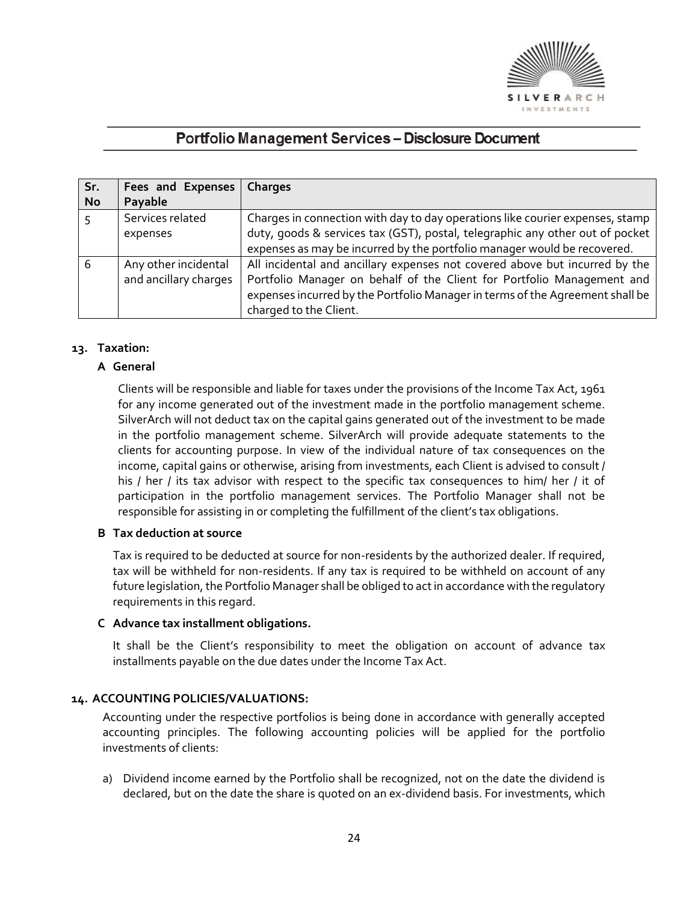

| Sr.       | Fees and Expenses     | <b>Charges</b>                                                                |
|-----------|-----------------------|-------------------------------------------------------------------------------|
| <b>No</b> | Payable               |                                                                               |
|           | Services related      | Charges in connection with day to day operations like courier expenses, stamp |
|           | expenses              | duty, goods & services tax (GST), postal, telegraphic any other out of pocket |
|           |                       | expenses as may be incurred by the portfolio manager would be recovered.      |
| 6         | Any other incidental  | All incidental and ancillary expenses not covered above but incurred by the   |
|           | and ancillary charges | Portfolio Manager on behalf of the Client for Portfolio Management and        |
|           |                       | expenses incurred by the Portfolio Manager in terms of the Agreement shall be |
|           |                       | charged to the Client.                                                        |

## **13. Taxation:**

## **A General**

Clients will be responsible and liable for taxes under the provisions of the Income Tax Act, 1961 for any income generated out of the investment made in the portfolio management scheme. SilverArch will not deduct tax on the capital gains generated out of the investment to be made in the portfolio management scheme. SilverArch will provide adequate statements to the clients for accounting purpose. In view of the individual nature of tax consequences on the income, capital gains or otherwise, arising from investments, each Client is advised to consult / his / her / its tax advisor with respect to the specific tax consequences to him/ her / it of participation in the portfolio management services. The Portfolio Manager shall not be responsible for assisting in or completing the fulfillment of the client's tax obligations.

## **B Tax deduction at source**

Tax is required to be deducted at source for non-residents by the authorized dealer. If required, tax will be withheld for non-residents. If any tax is required to be withheld on account of any future legislation, the Portfolio Manager shall be obliged to act in accordance with the regulatory requirements in this regard.

#### **C Advance tax installment obligations.**

It shall be the Client's responsibility to meet the obligation on account of advance tax installments payable on the due dates under the Income Tax Act.

## **14. ACCOUNTING POLICIES/VALUATIONS:**

Accounting under the respective portfolios is being done in accordance with generally accepted accounting principles. The following accounting policies will be applied for the portfolio investments of clients:

a) Dividend income earned by the Portfolio shall be recognized, not on the date the dividend is declared, but on the date the share is quoted on an ex-dividend basis. For investments, which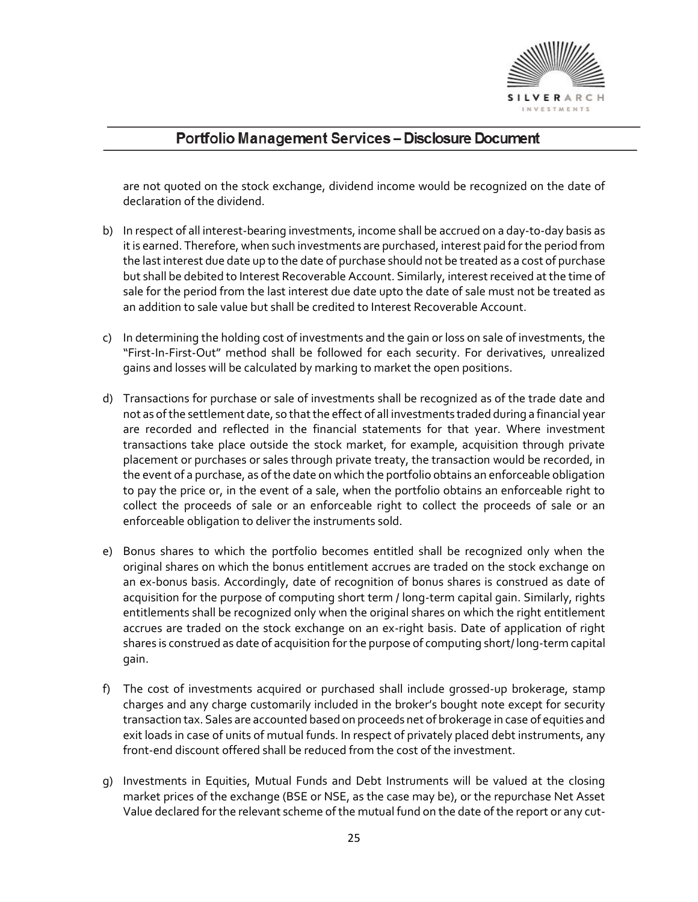

are not quoted on the stock exchange, dividend income would be recognized on the date of declaration of the dividend.

- b) In respect of all interest-bearing investments, income shall be accrued on a day-to-day basis as it is earned. Therefore, when such investments are purchased, interest paid for the period from the last interest due date up to the date of purchase should not be treated as a cost of purchase but shall be debited to Interest Recoverable Account. Similarly, interest received at the time of sale for the period from the last interest due date upto the date of sale must not be treated as an addition to sale value but shall be credited to Interest Recoverable Account.
- c) In determining the holding cost of investments and the gain or loss on sale of investments, the "First-In-First-Out" method shall be followed for each security. For derivatives, unrealized gains and losses will be calculated by marking to market the open positions.
- d) Transactions for purchase or sale of investments shall be recognized as of the trade date and not as of the settlement date, so that the effect of all investments traded during a financial year are recorded and reflected in the financial statements for that year. Where investment transactions take place outside the stock market, for example, acquisition through private placement or purchases or sales through private treaty, the transaction would be recorded, in the event of a purchase, as of the date on which the portfolio obtains an enforceable obligation to pay the price or, in the event of a sale, when the portfolio obtains an enforceable right to collect the proceeds of sale or an enforceable right to collect the proceeds of sale or an enforceable obligation to deliver the instruments sold.
- e) Bonus shares to which the portfolio becomes entitled shall be recognized only when the original shares on which the bonus entitlement accrues are traded on the stock exchange on an ex-bonus basis. Accordingly, date of recognition of bonus shares is construed as date of acquisition for the purpose of computing short term / long-term capital gain. Similarly, rights entitlements shall be recognized only when the original shares on which the right entitlement accrues are traded on the stock exchange on an ex-right basis. Date of application of right shares is construed as date of acquisition for the purpose of computing short/ long-term capital gain.
- f) The cost of investments acquired or purchased shall include grossed-up brokerage, stamp charges and any charge customarily included in the broker's bought note except for security transaction tax. Sales are accounted based on proceeds net of brokerage in case of equities and exit loads in case of units of mutual funds. In respect of privately placed debt instruments, any front-end discount offered shall be reduced from the cost of the investment.
- g) Investments in Equities, Mutual Funds and Debt Instruments will be valued at the closing market prices of the exchange (BSE or NSE, as the case may be), or the repurchase Net Asset Value declared for the relevant scheme of the mutual fund on the date of the report or any cut-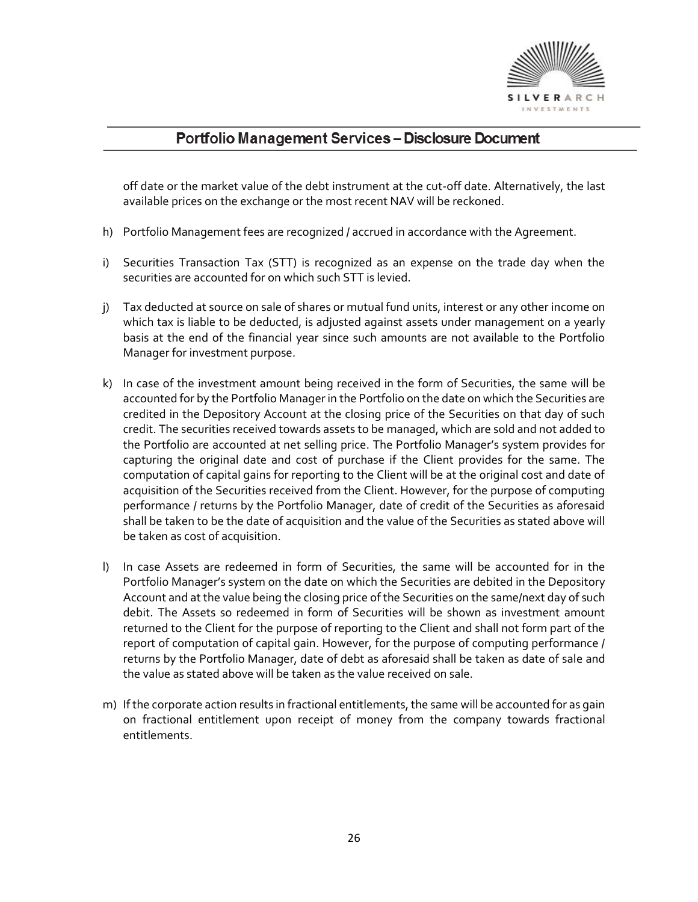

off date or the market value of the debt instrument at the cut-off date. Alternatively, the last available prices on the exchange or the most recent NAV will be reckoned.

- h) Portfolio Management fees are recognized / accrued in accordance with the Agreement.
- i) Securities Transaction Tax (STT) is recognized as an expense on the trade day when the securities are accounted for on which such STT is levied.
- j) Tax deducted at source on sale of shares or mutual fund units, interest or any other income on which tax is liable to be deducted, is adjusted against assets under management on a yearly basis at the end of the financial year since such amounts are not available to the Portfolio Manager for investment purpose.
- k) In case of the investment amount being received in the form of Securities, the same will be accounted for by the Portfolio Manager in the Portfolio on the date on which the Securities are credited in the Depository Account at the closing price of the Securities on that day of such credit. The securities received towards assets to be managed, which are sold and not added to the Portfolio are accounted at net selling price. The Portfolio Manager's system provides for capturing the original date and cost of purchase if the Client provides for the same. The computation of capital gains for reporting to the Client will be at the original cost and date of acquisition of the Securities received from the Client. However, for the purpose of computing performance / returns by the Portfolio Manager, date of credit of the Securities as aforesaid shall be taken to be the date of acquisition and the value of the Securities as stated above will be taken as cost of acquisition.
- l) In case Assets are redeemed in form of Securities, the same will be accounted for in the Portfolio Manager's system on the date on which the Securities are debited in the Depository Account and at the value being the closing price of the Securities on the same/next day of such debit. The Assets so redeemed in form of Securities will be shown as investment amount returned to the Client for the purpose of reporting to the Client and shall not form part of the report of computation of capital gain. However, for the purpose of computing performance / returns by the Portfolio Manager, date of debt as aforesaid shall be taken as date of sale and the value as stated above will be taken as the value received on sale.
- m) If the corporate action results in fractional entitlements, the same will be accounted for as gain on fractional entitlement upon receipt of money from the company towards fractional entitlements.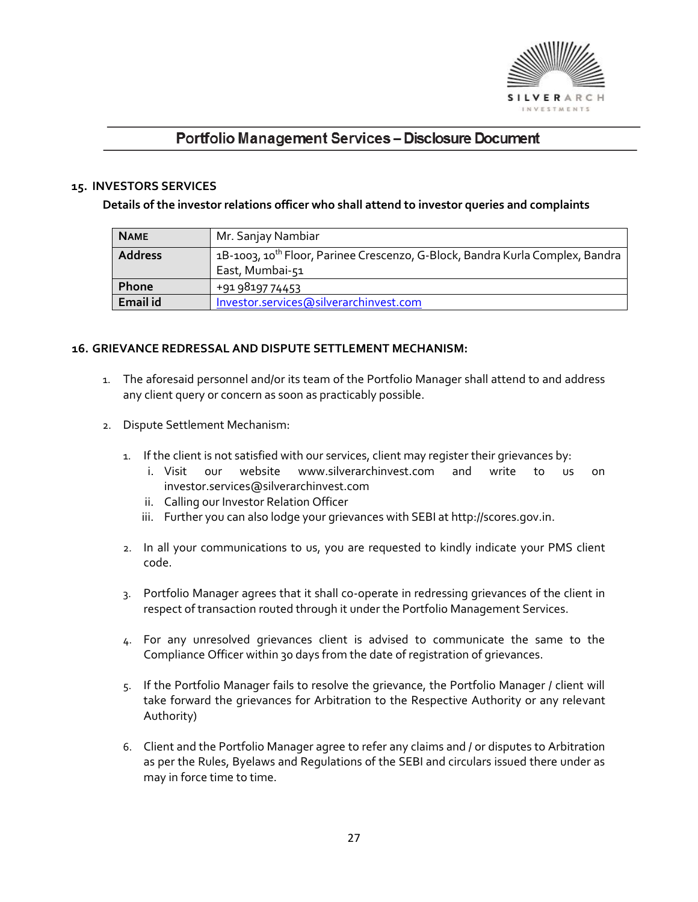

#### **15. INVESTORS SERVICES**

#### **Details of the investor relations officer who shall attend to investor queries and complaints**

| <b>NAME</b>    | Mr. Sanjay Nambiar                                                                                           |
|----------------|--------------------------------------------------------------------------------------------------------------|
| <b>Address</b> | 1B-1003, 10 <sup>th</sup> Floor, Parinee Crescenzo, G-Block, Bandra Kurla Complex, Bandra<br>East, Mumbai-51 |
| <b>Phone</b>   | +91 98197 74453                                                                                              |
| Email id       | Investor.services@silverarchinvest.com                                                                       |

#### **16. GRIEVANCE REDRESSAL AND DISPUTE SETTLEMENT MECHANISM:**

- 1. The aforesaid personnel and/or its team of the Portfolio Manager shall attend to and address any client query or concern as soon as practicably possible.
- 2. Dispute Settlement Mechanism:
	- 1. If the client is not satisfied with our services, client may register their grievances by:
		- i. Visit our website www.silverarchinvest.com and write to us on investor.services@silverarchinvest.com
		- ii. Calling our Investor Relation Officer
		- iii. Further you can also lodge your grievances with SEBI at http://scores.gov.in.
	- 2. In all your communications to us, you are requested to kindly indicate your PMS client code.
	- 3. Portfolio Manager agrees that it shall co-operate in redressing grievances of the client in respect of transaction routed through it under the Portfolio Management Services.
	- 4. For any unresolved grievances client is advised to communicate the same to the Compliance Officer within 30 days from the date of registration of grievances.
	- 5. If the Portfolio Manager fails to resolve the grievance, the Portfolio Manager / client will take forward the grievances for Arbitration to the Respective Authority or any relevant Authority)
	- 6. Client and the Portfolio Manager agree to refer any claims and / or disputes to Arbitration as per the Rules, Byelaws and Regulations of the SEBI and circulars issued there under as may in force time to time.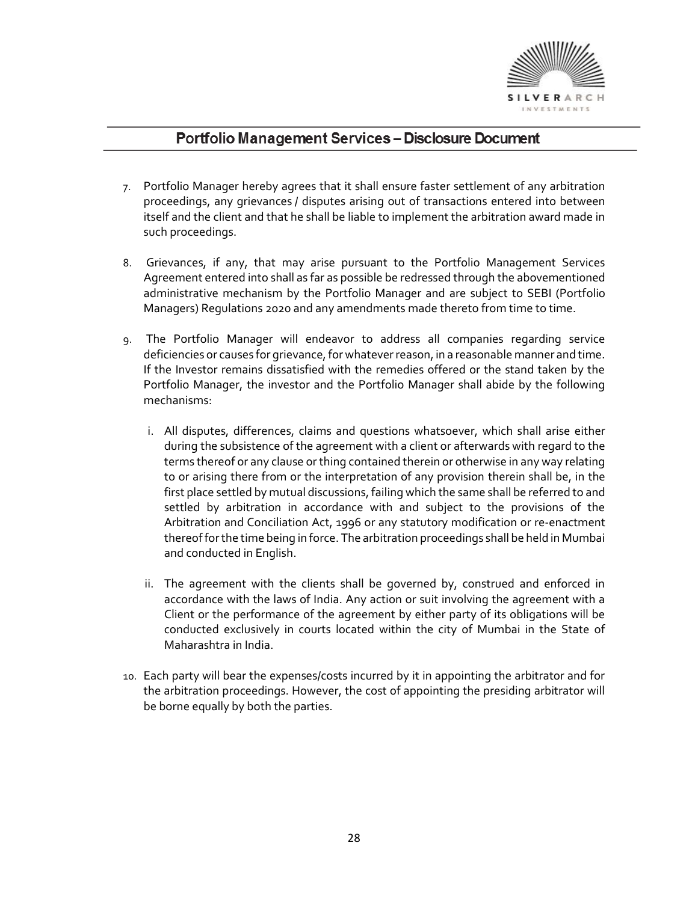

- 7. Portfolio Manager hereby agrees that it shall ensure faster settlement of any arbitration proceedings, any grievances / disputes arising out of transactions entered into between itself and the client and that he shall be liable to implement the arbitration award made in such proceedings.
- 8. Grievances, if any, that may arise pursuant to the Portfolio Management Services Agreement entered into shall as far as possible be redressed through the abovementioned administrative mechanism by the Portfolio Manager and are subject to SEBI (Portfolio Managers) Regulations 2020 and any amendments made thereto from time to time.
- 9. The Portfolio Manager will endeavor to address all companies regarding service deficiencies or causes for grievance, for whatever reason, in a reasonable manner and time. If the Investor remains dissatisfied with the remedies offered or the stand taken by the Portfolio Manager, the investor and the Portfolio Manager shall abide by the following mechanisms:
	- i. All disputes, differences, claims and questions whatsoever, which shall arise either during the subsistence of the agreement with a client or afterwards with regard to the terms thereof or any clause or thing contained therein or otherwise in any way relating to or arising there from or the interpretation of any provision therein shall be, in the first place settled by mutual discussions, failing which the same shall be referred to and settled by arbitration in accordance with and subject to the provisions of the Arbitration and Conciliation Act, 1996 or any statutory modification or re-enactment thereof for the time being in force. The arbitration proceedings shall be held in Mumbai and conducted in English.
	- ii. The agreement with the clients shall be governed by, construed and enforced in accordance with the laws of India. Any action or suit involving the agreement with a Client or the performance of the agreement by either party of its obligations will be conducted exclusively in courts located within the city of Mumbai in the State of Maharashtra in India.
- 10. Each party will bear the expenses/costs incurred by it in appointing the arbitrator and for the arbitration proceedings. However, the cost of appointing the presiding arbitrator will be borne equally by both the parties.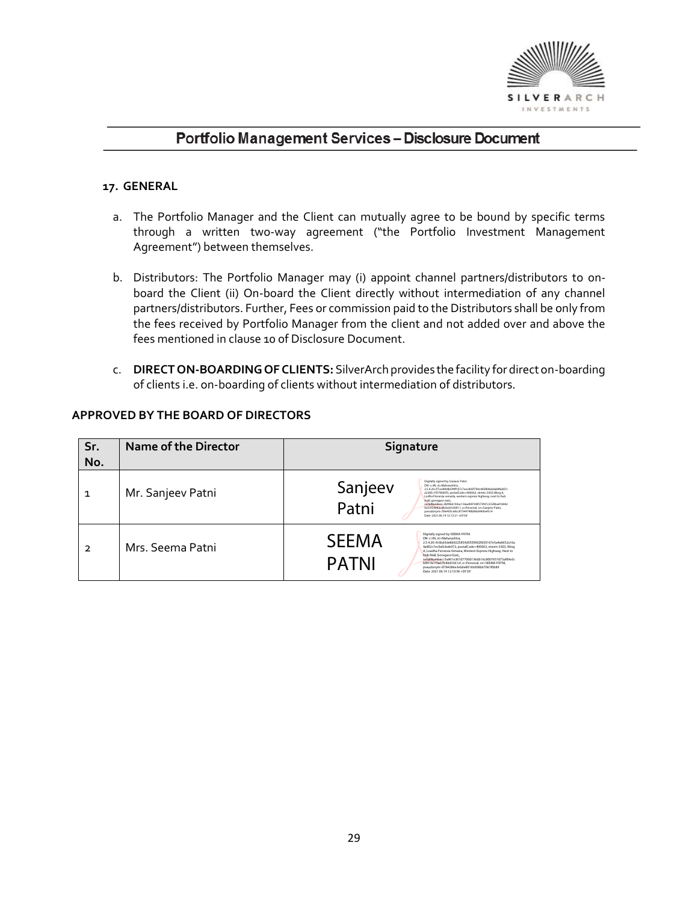

### **17. GENERAL**

- a. The Portfolio Manager and the Client can mutually agree to be bound by specific terms through a written two-way agreement ("the Portfolio Investment Management Agreement") between themselves.
- b. Distributors: The Portfolio Manager may (i) appoint channel partners/distributors to onboard the Client (ii) On-board the Client directly without intermediation of any channel partners/distributors. Further, Fees or commission paid to the Distributors shall be only from the fees received by Portfolio Manager from the client and not added over and above the fees mentioned in clause 10 of Disclosure Document.
- c. **DIRECT ON-BOARDING OF CLIENTS:** SilverArch provides the facility for direct on-boarding of clients i.e. on-boarding of clients without intermediation of distributors.

| Sr.<br>No. | <b>Name of the Director</b> | Signature                                                                                                                                                                                                                                                                                                                                                                                                                                                                                                        |
|------------|-----------------------------|------------------------------------------------------------------------------------------------------------------------------------------------------------------------------------------------------------------------------------------------------------------------------------------------------------------------------------------------------------------------------------------------------------------------------------------------------------------------------------------------------------------|
|            | Mr. Sanjeev Patni           | Digitally signed by Sanjeev Patni<br>Sanjeev<br>DN: c-IN. st-Maharashtra.<br>2.5.4.20=f7ced904b5f4ff107c7eec892f794c485f846dda84fa087c<br>a2285c1f379065f3.postalCode=400063.street=3303.Wing A.<br>Lodha Florenza venezla, western express highway, next to hub<br>mall, goregaon east.<br>Patni<br>serialNumber=3hf4hh193ec136ad09744f373f47c3329ha418442<br>0e55f34d92c68cbeb160911.o-Personal.cn-Sanieev Patni.<br>pseudonym=59e405ce8cc87344748b89a9400e4514<br>Date: 2021 06 19 12:13:21 +05:30"           |
| っ          | Mrs. Seema Patni            | Digitally signed by SEEMA PATNI<br><b>SEEMA</b><br>DN: c=IN. st=Maharashtra.<br>2.5.4.20=fe6bd3de8b9225859d5509602fd30167e5a4a6652a16a<br>4a802c7ec0e0cbeb972, postalCode=400063, street=3303, Wing<br>A. Loadha Fiorenza Venezia. Western Express Highway. Next to<br>Hub Mall, Goregaon East<br>serialNumber=Sa961e367d7700d136db16c8007657d73af89e3c<br><b>PATNI</b><br>bf4f1fa17fa07fc86d3361cf.o=Personal.on=SEEMA PATNL<br>pseudonym=6784286e3eb6e8016b958b67061f0b89<br>Date: 2021 06 19 12:10:58 +05'30" |

#### **APPROVED BY THE BOARD OF DIRECTORS**